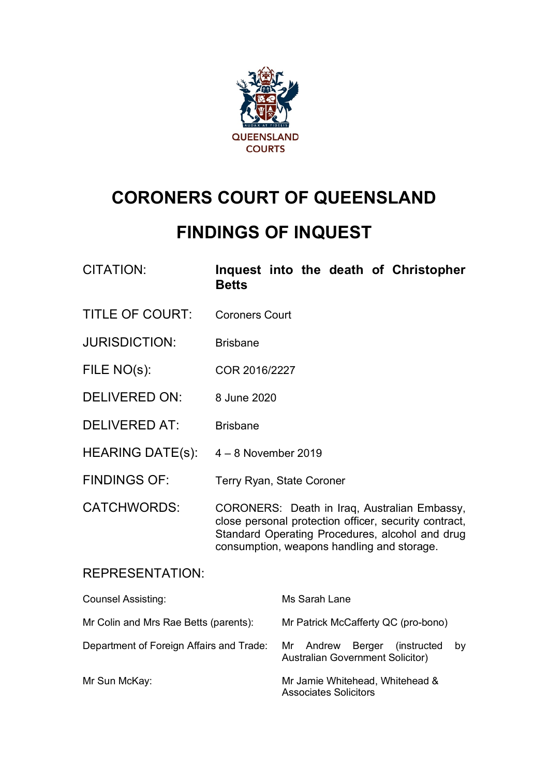

# **CORONERS COURT OF QUEENSLAND**

# **FINDINGS OF INQUEST**

| <b>CITATION:</b> |              |  |  | Inquest into the death of Christopher |
|------------------|--------------|--|--|---------------------------------------|
|                  | <b>Betts</b> |  |  |                                       |

- TITLE OF COURT: Coroners Court
- JURISDICTION: Brisbane
- FILE NO(s): COR 2016/2227
- DELIVERED ON: 8 June 2020
- DELIVERED AT: Brisbane
- HEARING DATE(s): 4 8 November 2019
- FINDINGS OF: Terry Ryan, State Coroner
- CATCHWORDS: CORONERS: Death in Iraq, Australian Embassy, close personal protection officer, security contract, Standard Operating Procedures, alcohol and drug consumption, weapons handling and storage.

### REPRESENTATION:

| <b>Counsel Assisting:</b>                | Ms Sarah Lane                                                                        |  |  |  |  |  |
|------------------------------------------|--------------------------------------------------------------------------------------|--|--|--|--|--|
| Mr Colin and Mrs Rae Betts (parents):    | Mr Patrick McCafferty QC (pro-bono)                                                  |  |  |  |  |  |
| Department of Foreign Affairs and Trade: | Mr Andrew<br>Berger<br>(instructed)<br>by<br><b>Australian Government Solicitor)</b> |  |  |  |  |  |
| Mr Sun McKay:                            | Mr Jamie Whitehead, Whitehead &<br><b>Associates Solicitors</b>                      |  |  |  |  |  |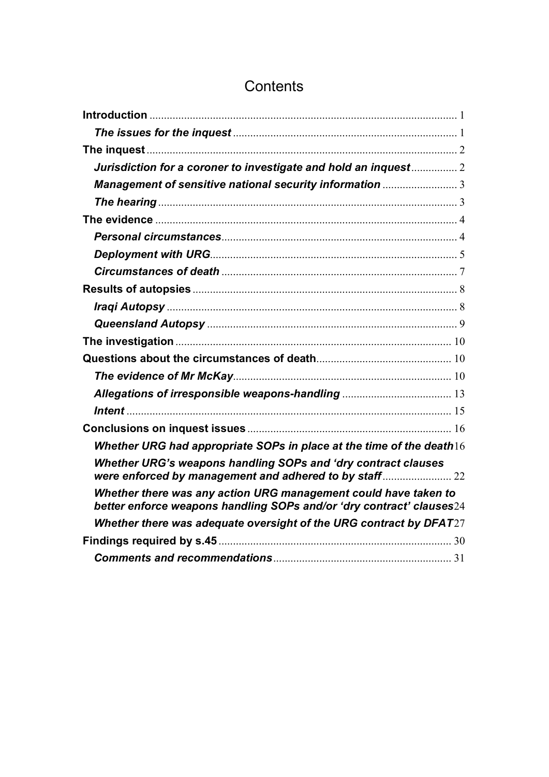## **Contents**

| Jurisdiction for a coroner to investigate and hold an inquest 2                                                                         |
|-----------------------------------------------------------------------------------------------------------------------------------------|
|                                                                                                                                         |
|                                                                                                                                         |
|                                                                                                                                         |
|                                                                                                                                         |
|                                                                                                                                         |
|                                                                                                                                         |
|                                                                                                                                         |
|                                                                                                                                         |
|                                                                                                                                         |
|                                                                                                                                         |
|                                                                                                                                         |
|                                                                                                                                         |
|                                                                                                                                         |
|                                                                                                                                         |
|                                                                                                                                         |
| Whether URG had appropriate SOPs in place at the time of the death $16$                                                                 |
| Whether URG's weapons handling SOPs and 'dry contract clauses                                                                           |
| Whether there was any action URG management could have taken to<br>better enforce weapons handling SOPs and/or 'dry contract' clauses24 |
| Whether there was adequate oversight of the URG contract by DFAT27                                                                      |
|                                                                                                                                         |
|                                                                                                                                         |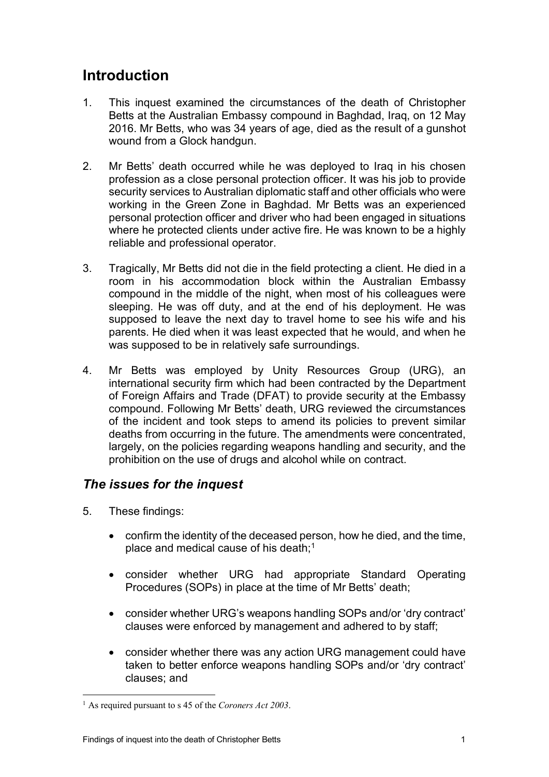## <span id="page-2-0"></span>**Introduction**

- 1. This inquest examined the circumstances of the death of Christopher Betts at the Australian Embassy compound in Baghdad, Iraq, on 12 May 2016. Mr Betts, who was 34 years of age, died as the result of a gunshot wound from a Glock handgun.
- 2. Mr Betts' death occurred while he was deployed to Iraq in his chosen profession as a close personal protection officer. It was his job to provide security services to Australian diplomatic staff and other officials who were working in the Green Zone in Baghdad. Mr Betts was an experienced personal protection officer and driver who had been engaged in situations where he protected clients under active fire. He was known to be a highly reliable and professional operator.
- 3. Tragically, Mr Betts did not die in the field protecting a client. He died in a room in his accommodation block within the Australian Embassy compound in the middle of the night, when most of his colleagues were sleeping. He was off duty, and at the end of his deployment. He was supposed to leave the next day to travel home to see his wife and his parents. He died when it was least expected that he would, and when he was supposed to be in relatively safe surroundings.
- 4. Mr Betts was employed by Unity Resources Group (URG), an international security firm which had been contracted by the Department of Foreign Affairs and Trade (DFAT) to provide security at the Embassy compound. Following Mr Betts' death, URG reviewed the circumstances of the incident and took steps to amend its policies to prevent similar deaths from occurring in the future. The amendments were concentrated, largely, on the policies regarding weapons handling and security, and the prohibition on the use of drugs and alcohol while on contract.

## <span id="page-2-1"></span>*The issues for the inquest*

- 5. These findings:
	- confirm the identity of the deceased person, how he died, and the time, place and medical cause of his death[;1](#page-2-2)
	- consider whether URG had appropriate Standard Operating Procedures (SOPs) in place at the time of Mr Betts' death;
	- consider whether URG's weapons handling SOPs and/or 'dry contract' clauses were enforced by management and adhered to by staff;
	- consider whether there was any action URG management could have taken to better enforce weapons handling SOPs and/or 'dry contract' clauses; and

<span id="page-2-2"></span><sup>1</sup> As required pursuant to s 45 of the *Coroners Act 2003*.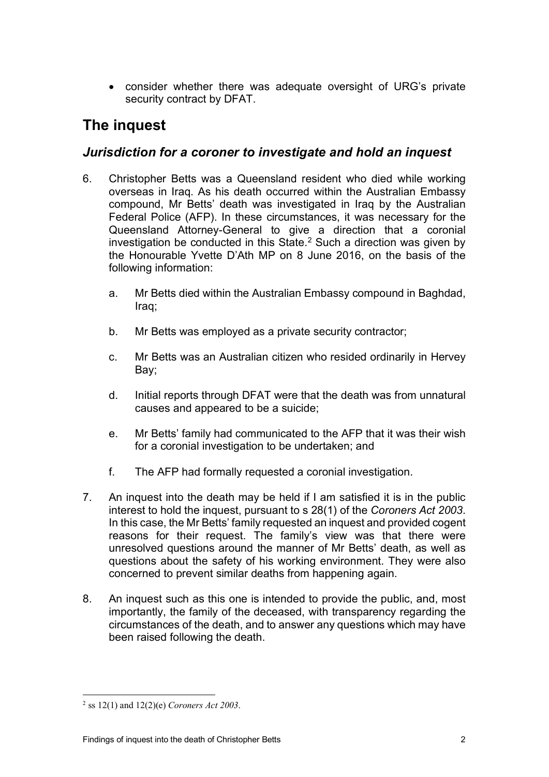• consider whether there was adequate oversight of URG's private security contract by DFAT.

## <span id="page-3-0"></span>**The inquest**

## <span id="page-3-1"></span>*Jurisdiction for a coroner to investigate and hold an inquest*

- 6. Christopher Betts was a Queensland resident who died while working overseas in Iraq. As his death occurred within the Australian Embassy compound, Mr Betts' death was investigated in Iraq by the Australian Federal Police (AFP). In these circumstances, it was necessary for the Queensland Attorney-General to give a direction that a coronial investigation be conducted in this State. [2](#page-3-2) Such a direction was given by the Honourable Yvette D'Ath MP on 8 June 2016, on the basis of the following information:
	- a. Mr Betts died within the Australian Embassy compound in Baghdad, Iraq;
	- b. Mr Betts was employed as a private security contractor;
	- c. Mr Betts was an Australian citizen who resided ordinarily in Hervey Bay;
	- d. Initial reports through DFAT were that the death was from unnatural causes and appeared to be a suicide;
	- e. Mr Betts' family had communicated to the AFP that it was their wish for a coronial investigation to be undertaken; and
	- f. The AFP had formally requested a coronial investigation.
- 7. An inquest into the death may be held if I am satisfied it is in the public interest to hold the inquest, pursuant to s 28(1) of the *Coroners Act 2003*. In this case, the Mr Betts' family requested an inquest and provided cogent reasons for their request. The family's view was that there were unresolved questions around the manner of Mr Betts' death, as well as questions about the safety of his working environment. They were also concerned to prevent similar deaths from happening again.
- 8. An inquest such as this one is intended to provide the public, and, most importantly, the family of the deceased, with transparency regarding the circumstances of the death, and to answer any questions which may have been raised following the death.

<span id="page-3-2"></span><sup>2</sup> ss 12(1) and 12(2)(e) *Coroners Act 2003*.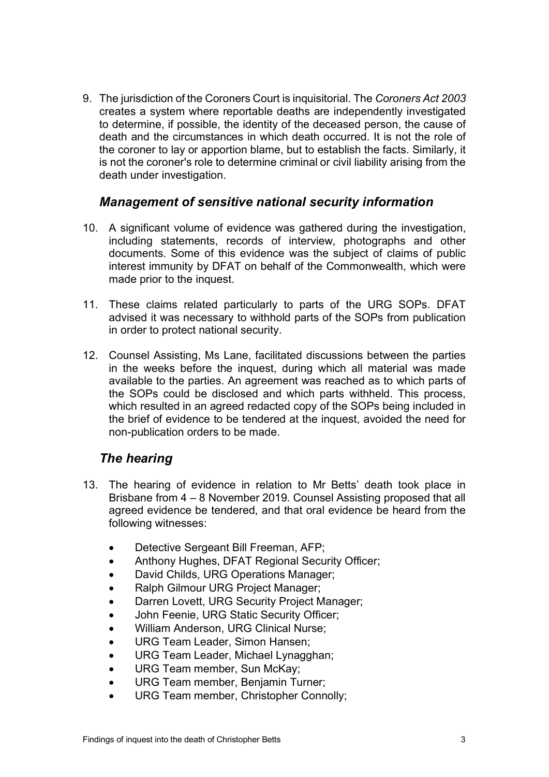9. The jurisdiction of the Coroners Court is inquisitorial. The *Coroners Act 2003* creates a system where reportable deaths are independently investigated to determine, if possible, the identity of the deceased person, the cause of death and the circumstances in which death occurred. It is not the role of the coroner to lay or apportion blame, but to establish the facts. Similarly, it is not the coroner's role to determine criminal or civil liability arising from the death under investigation.

## <span id="page-4-0"></span>*Management of sensitive national security information*

- 10. A significant volume of evidence was gathered during the investigation, including statements, records of interview, photographs and other documents. Some of this evidence was the subject of claims of public interest immunity by DFAT on behalf of the Commonwealth, which were made prior to the inquest.
- 11. These claims related particularly to parts of the URG SOPs. DFAT advised it was necessary to withhold parts of the SOPs from publication in order to protect national security.
- 12. Counsel Assisting, Ms Lane, facilitated discussions between the parties in the weeks before the inquest, during which all material was made available to the parties. An agreement was reached as to which parts of the SOPs could be disclosed and which parts withheld. This process, which resulted in an agreed redacted copy of the SOPs being included in the brief of evidence to be tendered at the inquest, avoided the need for non-publication orders to be made.

## <span id="page-4-1"></span>*The hearing*

- 13. The hearing of evidence in relation to Mr Betts' death took place in Brisbane from 4 – 8 November 2019. Counsel Assisting proposed that all agreed evidence be tendered, and that oral evidence be heard from the following witnesses:
	- Detective Sergeant Bill Freeman, AFP;
	- Anthony Hughes, DFAT Regional Security Officer;
	- David Childs, URG Operations Manager;
	- Ralph Gilmour URG Project Manager;
	- Darren Lovett, URG Security Project Manager;
	- John Feenie, URG Static Security Officer;
	- William Anderson, URG Clinical Nurse;
	- URG Team Leader, Simon Hansen;
	- URG Team Leader, Michael Lynagghan;
	- URG Team member, Sun McKay;
	- URG Team member, Benjamin Turner;
	- URG Team member, Christopher Connolly;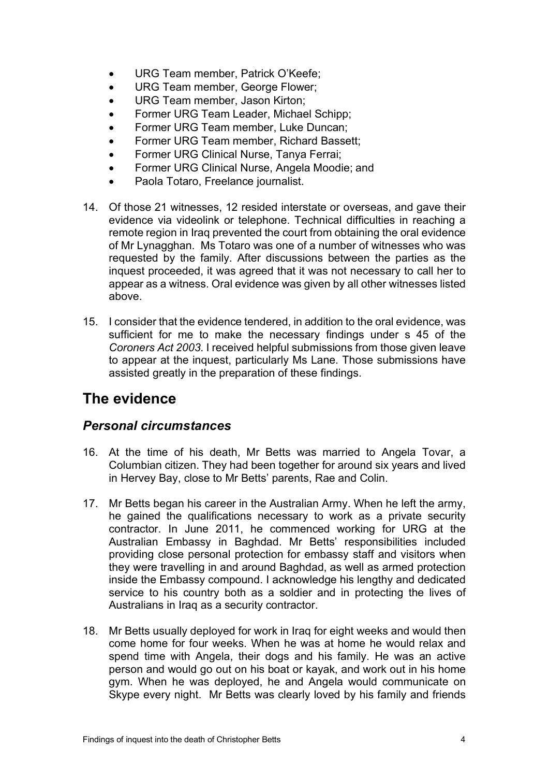- URG Team member, Patrick O'Keefe;
- URG Team member, George Flower;
- URG Team member, Jason Kirton;
- Former URG Team Leader, Michael Schipp;
- Former URG Team member, Luke Duncan;
- Former URG Team member, Richard Bassett;
- Former URG Clinical Nurse, Tanya Ferrai;
- Former URG Clinical Nurse, Angela Moodie; and
- Paola Totaro, Freelance journalist.
- 14. Of those 21 witnesses, 12 resided interstate or overseas, and gave their evidence via videolink or telephone. Technical difficulties in reaching a remote region in Iraq prevented the court from obtaining the oral evidence of Mr Lynagghan. Ms Totaro was one of a number of witnesses who was requested by the family. After discussions between the parties as the inquest proceeded, it was agreed that it was not necessary to call her to appear as a witness. Oral evidence was given by all other witnesses listed above.
- 15. I consider that the evidence tendered, in addition to the oral evidence, was sufficient for me to make the necessary findings under s 45 of the *Coroners Act 2003*. I received helpful submissions from those given leave to appear at the inquest, particularly Ms Lane. Those submissions have assisted greatly in the preparation of these findings.

## <span id="page-5-0"></span>**The evidence**

### <span id="page-5-1"></span>*Personal circumstances*

- 16. At the time of his death, Mr Betts was married to Angela Tovar, a Columbian citizen. They had been together for around six years and lived in Hervey Bay, close to Mr Betts' parents, Rae and Colin.
- 17. Mr Betts began his career in the Australian Army. When he left the army, he gained the qualifications necessary to work as a private security contractor. In June 2011, he commenced working for URG at the Australian Embassy in Baghdad. Mr Betts' responsibilities included providing close personal protection for embassy staff and visitors when they were travelling in and around Baghdad, as well as armed protection inside the Embassy compound. I acknowledge his lengthy and dedicated service to his country both as a soldier and in protecting the lives of Australians in Iraq as a security contractor.
- 18. Mr Betts usually deployed for work in Iraq for eight weeks and would then come home for four weeks. When he was at home he would relax and spend time with Angela, their dogs and his family. He was an active person and would go out on his boat or kayak, and work out in his home gym. When he was deployed, he and Angela would communicate on Skype every night. Mr Betts was clearly loved by his family and friends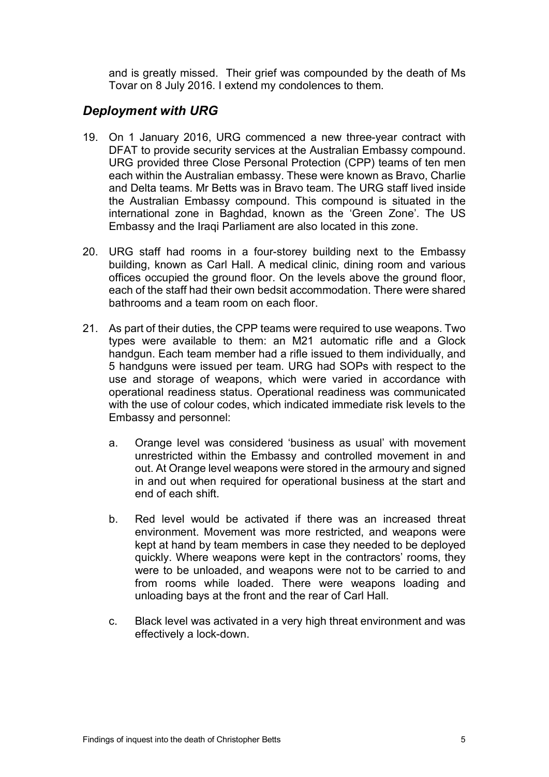and is greatly missed. Their grief was compounded by the death of Ms Tovar on 8 July 2016. I extend my condolences to them.

## <span id="page-6-0"></span>*Deployment with URG*

- 19. On 1 January 2016, URG commenced a new three-year contract with DFAT to provide security services at the Australian Embassy compound. URG provided three Close Personal Protection (CPP) teams of ten men each within the Australian embassy. These were known as Bravo, Charlie and Delta teams. Mr Betts was in Bravo team. The URG staff lived inside the Australian Embassy compound. This compound is situated in the international zone in Baghdad, known as the 'Green Zone'. The US Embassy and the Iraqi Parliament are also located in this zone.
- 20. URG staff had rooms in a four-storey building next to the Embassy building, known as Carl Hall. A medical clinic, dining room and various offices occupied the ground floor. On the levels above the ground floor, each of the staff had their own bedsit accommodation. There were shared bathrooms and a team room on each floor.
- 21. As part of their duties, the CPP teams were required to use weapons. Two types were available to them: an M21 automatic rifle and a Glock handgun. Each team member had a rifle issued to them individually, and 5 handguns were issued per team. URG had SOPs with respect to the use and storage of weapons, which were varied in accordance with operational readiness status. Operational readiness was communicated with the use of colour codes, which indicated immediate risk levels to the Embassy and personnel:
	- a. Orange level was considered 'business as usual' with movement unrestricted within the Embassy and controlled movement in and out. At Orange level weapons were stored in the armoury and signed in and out when required for operational business at the start and end of each shift.
	- b. Red level would be activated if there was an increased threat environment. Movement was more restricted, and weapons were kept at hand by team members in case they needed to be deployed quickly. Where weapons were kept in the contractors' rooms, they were to be unloaded, and weapons were not to be carried to and from rooms while loaded. There were weapons loading and unloading bays at the front and the rear of Carl Hall.
	- c. Black level was activated in a very high threat environment and was effectively a lock-down.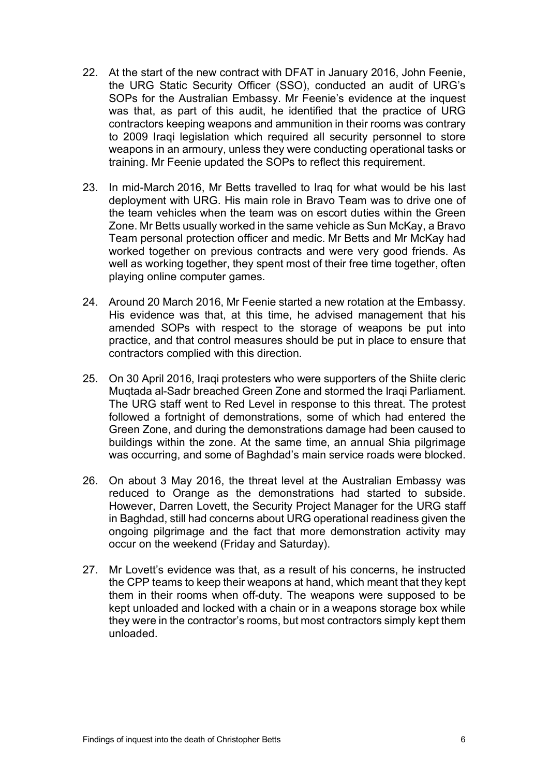- 22. At the start of the new contract with DFAT in January 2016, John Feenie, the URG Static Security Officer (SSO), conducted an audit of URG's SOPs for the Australian Embassy. Mr Feenie's evidence at the inquest was that, as part of this audit, he identified that the practice of URG contractors keeping weapons and ammunition in their rooms was contrary to 2009 Iraqi legislation which required all security personnel to store weapons in an armoury, unless they were conducting operational tasks or training. Mr Feenie updated the SOPs to reflect this requirement.
- 23. In mid-March 2016, Mr Betts travelled to Iraq for what would be his last deployment with URG. His main role in Bravo Team was to drive one of the team vehicles when the team was on escort duties within the Green Zone. Mr Betts usually worked in the same vehicle as Sun McKay, a Bravo Team personal protection officer and medic. Mr Betts and Mr McKay had worked together on previous contracts and were very good friends. As well as working together, they spent most of their free time together, often playing online computer games.
- 24. Around 20 March 2016, Mr Feenie started a new rotation at the Embassy. His evidence was that, at this time, he advised management that his amended SOPs with respect to the storage of weapons be put into practice, and that control measures should be put in place to ensure that contractors complied with this direction.
- 25. On 30 April 2016, Iraqi protesters who were supporters of the Shiite cleric Muqtada al-Sadr breached Green Zone and stormed the Iraqi Parliament. The URG staff went to Red Level in response to this threat. The protest followed a fortnight of demonstrations, some of which had entered the Green Zone, and during the demonstrations damage had been caused to buildings within the zone. At the same time, an annual Shia pilgrimage was occurring, and some of Baghdad's main service roads were blocked.
- 26. On about 3 May 2016, the threat level at the Australian Embassy was reduced to Orange as the demonstrations had started to subside. However, Darren Lovett, the Security Project Manager for the URG staff in Baghdad, still had concerns about URG operational readiness given the ongoing pilgrimage and the fact that more demonstration activity may occur on the weekend (Friday and Saturday).
- 27. Mr Lovett's evidence was that, as a result of his concerns, he instructed the CPP teams to keep their weapons at hand, which meant that they kept them in their rooms when off-duty. The weapons were supposed to be kept unloaded and locked with a chain or in a weapons storage box while they were in the contractor's rooms, but most contractors simply kept them unloaded.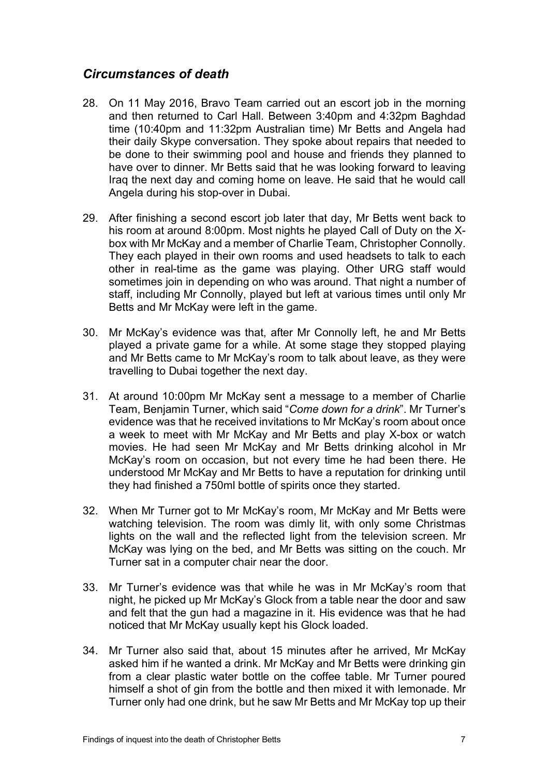## <span id="page-8-0"></span>*Circumstances of death*

- 28. On 11 May 2016, Bravo Team carried out an escort job in the morning and then returned to Carl Hall. Between 3:40pm and 4:32pm Baghdad time (10:40pm and 11:32pm Australian time) Mr Betts and Angela had their daily Skype conversation. They spoke about repairs that needed to be done to their swimming pool and house and friends they planned to have over to dinner. Mr Betts said that he was looking forward to leaving Iraq the next day and coming home on leave. He said that he would call Angela during his stop-over in Dubai.
- 29. After finishing a second escort job later that day, Mr Betts went back to his room at around 8:00pm. Most nights he played Call of Duty on the Xbox with Mr McKay and a member of Charlie Team, Christopher Connolly. They each played in their own rooms and used headsets to talk to each other in real-time as the game was playing. Other URG staff would sometimes join in depending on who was around. That night a number of staff, including Mr Connolly, played but left at various times until only Mr Betts and Mr McKay were left in the game.
- 30. Mr McKay's evidence was that, after Mr Connolly left, he and Mr Betts played a private game for a while. At some stage they stopped playing and Mr Betts came to Mr McKay's room to talk about leave, as they were travelling to Dubai together the next day.
- 31. At around 10:00pm Mr McKay sent a message to a member of Charlie Team, Benjamin Turner, which said "*Come down for a drink*". Mr Turner's evidence was that he received invitations to Mr McKay's room about once a week to meet with Mr McKay and Mr Betts and play X-box or watch movies. He had seen Mr McKay and Mr Betts drinking alcohol in Mr McKay's room on occasion, but not every time he had been there. He understood Mr McKay and Mr Betts to have a reputation for drinking until they had finished a 750ml bottle of spirits once they started.
- 32. When Mr Turner got to Mr McKay's room, Mr McKay and Mr Betts were watching television. The room was dimly lit, with only some Christmas lights on the wall and the reflected light from the television screen. Mr McKay was lying on the bed, and Mr Betts was sitting on the couch. Mr Turner sat in a computer chair near the door.
- 33. Mr Turner's evidence was that while he was in Mr McKay's room that night, he picked up Mr McKay's Glock from a table near the door and saw and felt that the gun had a magazine in it. His evidence was that he had noticed that Mr McKay usually kept his Glock loaded.
- 34. Mr Turner also said that, about 15 minutes after he arrived, Mr McKay asked him if he wanted a drink. Mr McKay and Mr Betts were drinking gin from a clear plastic water bottle on the coffee table. Mr Turner poured himself a shot of gin from the bottle and then mixed it with lemonade. Mr Turner only had one drink, but he saw Mr Betts and Mr McKay top up their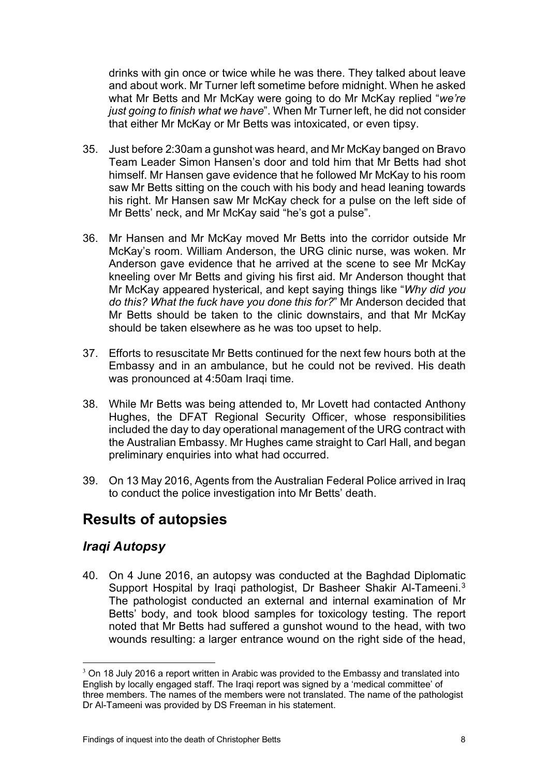drinks with gin once or twice while he was there. They talked about leave and about work. Mr Turner left sometime before midnight. When he asked what Mr Betts and Mr McKay were going to do Mr McKay replied "*we're just going to finish what we have*". When Mr Turner left, he did not consider that either Mr McKay or Mr Betts was intoxicated, or even tipsy.

- 35. Just before 2:30am a gunshot was heard, and Mr McKay banged on Bravo Team Leader Simon Hansen's door and told him that Mr Betts had shot himself. Mr Hansen gave evidence that he followed Mr McKay to his room saw Mr Betts sitting on the couch with his body and head leaning towards his right. Mr Hansen saw Mr McKay check for a pulse on the left side of Mr Betts' neck, and Mr McKay said "he's got a pulse".
- 36. Mr Hansen and Mr McKay moved Mr Betts into the corridor outside Mr McKay's room. William Anderson, the URG clinic nurse, was woken. Mr Anderson gave evidence that he arrived at the scene to see Mr McKay kneeling over Mr Betts and giving his first aid. Mr Anderson thought that Mr McKay appeared hysterical, and kept saying things like "*Why did you do this? What the fuck have you done this for?*" Mr Anderson decided that Mr Betts should be taken to the clinic downstairs, and that Mr McKay should be taken elsewhere as he was too upset to help.
- 37. Efforts to resuscitate Mr Betts continued for the next few hours both at the Embassy and in an ambulance, but he could not be revived. His death was pronounced at 4:50am Iraqi time.
- 38. While Mr Betts was being attended to, Mr Lovett had contacted Anthony Hughes, the DFAT Regional Security Officer, whose responsibilities included the day to day operational management of the URG contract with the Australian Embassy. Mr Hughes came straight to Carl Hall, and began preliminary enquiries into what had occurred.
- 39. On 13 May 2016, Agents from the Australian Federal Police arrived in Iraq to conduct the police investigation into Mr Betts' death.

## <span id="page-9-0"></span>**Results of autopsies**

## <span id="page-9-1"></span>*Iraqi Autopsy*

40. On 4 June 2016, an autopsy was conducted at the Baghdad Diplomatic Support Hospital by Iraqi pathologist, Dr Basheer Shakir Al-Tameeni.<sup>[3](#page-9-2)</sup> The pathologist conducted an external and internal examination of Mr Betts' body, and took blood samples for toxicology testing. The report noted that Mr Betts had suffered a gunshot wound to the head, with two wounds resulting: a larger entrance wound on the right side of the head,

<span id="page-9-2"></span> $3$  On 18 July 2016 a report written in Arabic was provided to the Embassy and translated into English by locally engaged staff. The Iraqi report was signed by a 'medical committee' of three members. The names of the members were not translated. The name of the pathologist Dr Al-Tameeni was provided by DS Freeman in his statement.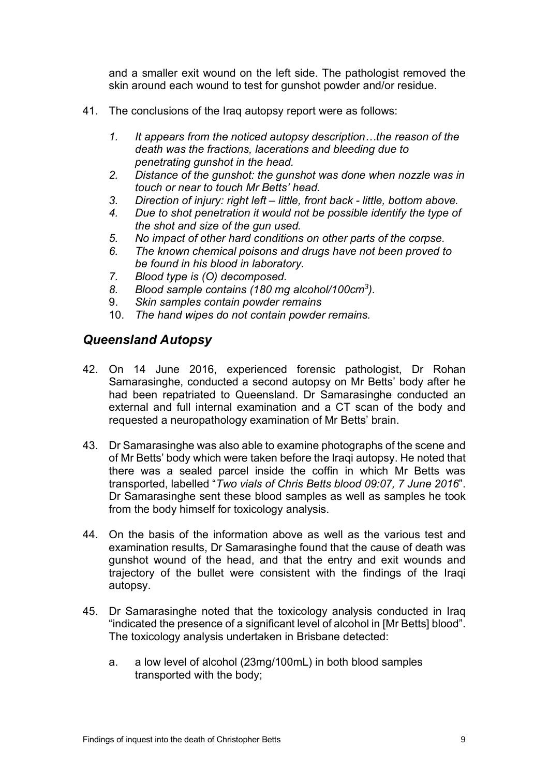and a smaller exit wound on the left side. The pathologist removed the skin around each wound to test for gunshot powder and/or residue.

- 41. The conclusions of the Iraq autopsy report were as follows:
	- *1. It appears from the noticed autopsy description…the reason of the death was the fractions, lacerations and bleeding due to penetrating gunshot in the head.*
	- *2. Distance of the gunshot: the gunshot was done when nozzle was in touch or near to touch Mr Betts' head.*
	- *3. Direction of injury: right left – little, front back - little, bottom above.*
	- *4. Due to shot penetration it would not be possible identify the type of the shot and size of the gun used.*
	- *5. No impact of other hard conditions on other parts of the corpse.*
	- *6. The known chemical poisons and drugs have not been proved to be found in his blood in laboratory.*
	- *7. Blood type is (O) decomposed.*
	- *8. Blood sample contains (180 mg alcohol/100cm<sup>3</sup> ).*
	- 9. *Skin samples contain powder remains*
	- 10. *The hand wipes do not contain powder remains.*

## <span id="page-10-0"></span>*Queensland Autopsy*

- 42. On 14 June 2016, experienced forensic pathologist, Dr Rohan Samarasinghe, conducted a second autopsy on Mr Betts' body after he had been repatriated to Queensland. Dr Samarasinghe conducted an external and full internal examination and a CT scan of the body and requested a neuropathology examination of Mr Betts' brain.
- 43. Dr Samarasinghe was also able to examine photographs of the scene and of Mr Betts' body which were taken before the Iraqi autopsy. He noted that there was a sealed parcel inside the coffin in which Mr Betts was transported, labelled "*Two vials of Chris Betts blood 09:07, 7 June 2016*". Dr Samarasinghe sent these blood samples as well as samples he took from the body himself for toxicology analysis.
- 44. On the basis of the information above as well as the various test and examination results, Dr Samarasinghe found that the cause of death was gunshot wound of the head, and that the entry and exit wounds and trajectory of the bullet were consistent with the findings of the Iraqi autopsy.
- 45. Dr Samarasinghe noted that the toxicology analysis conducted in Iraq "indicated the presence of a significant level of alcohol in [Mr Betts] blood". The toxicology analysis undertaken in Brisbane detected:
	- a. a low level of alcohol (23mg/100mL) in both blood samples transported with the body;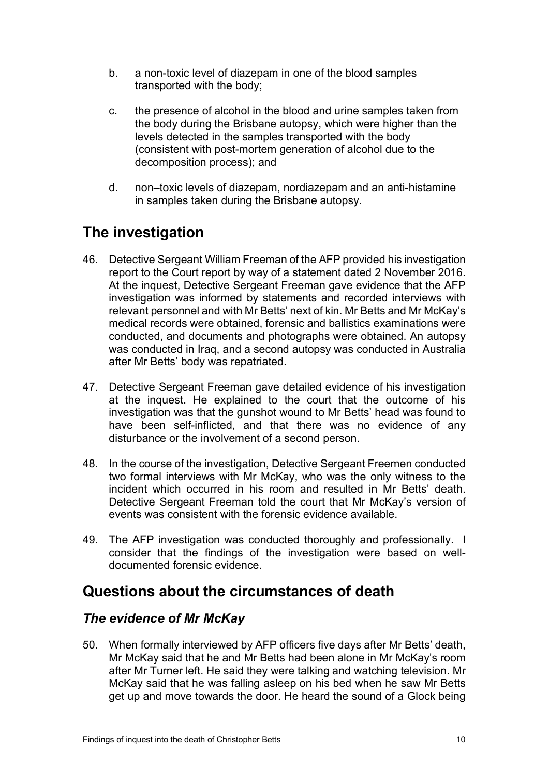- b. a non-toxic level of diazepam in one of the blood samples transported with the body;
- c. the presence of alcohol in the blood and urine samples taken from the body during the Brisbane autopsy, which were higher than the levels detected in the samples transported with the body (consistent with post-mortem generation of alcohol due to the decomposition process); and
- d. non–toxic levels of diazepam, nordiazepam and an anti-histamine in samples taken during the Brisbane autopsy.

## <span id="page-11-0"></span>**The investigation**

- 46. Detective Sergeant William Freeman of the AFP provided his investigation report to the Court report by way of a statement dated 2 November 2016. At the inquest, Detective Sergeant Freeman gave evidence that the AFP investigation was informed by statements and recorded interviews with relevant personnel and with Mr Betts' next of kin. Mr Betts and Mr McKay's medical records were obtained, forensic and ballistics examinations were conducted, and documents and photographs were obtained. An autopsy was conducted in Iraq, and a second autopsy was conducted in Australia after Mr Betts' body was repatriated.
- 47. Detective Sergeant Freeman gave detailed evidence of his investigation at the inquest. He explained to the court that the outcome of his investigation was that the gunshot wound to Mr Betts' head was found to have been self-inflicted, and that there was no evidence of any disturbance or the involvement of a second person.
- 48. In the course of the investigation, Detective Sergeant Freemen conducted two formal interviews with Mr McKay, who was the only witness to the incident which occurred in his room and resulted in Mr Betts' death. Detective Sergeant Freeman told the court that Mr McKay's version of events was consistent with the forensic evidence available.
- 49. The AFP investigation was conducted thoroughly and professionally. I consider that the findings of the investigation were based on welldocumented forensic evidence.

## <span id="page-11-1"></span>**Questions about the circumstances of death**

## <span id="page-11-2"></span>*The evidence of Mr McKay*

50. When formally interviewed by AFP officers five days after Mr Betts' death, Mr McKay said that he and Mr Betts had been alone in Mr McKay's room after Mr Turner left. He said they were talking and watching television. Mr McKay said that he was falling asleep on his bed when he saw Mr Betts get up and move towards the door. He heard the sound of a Glock being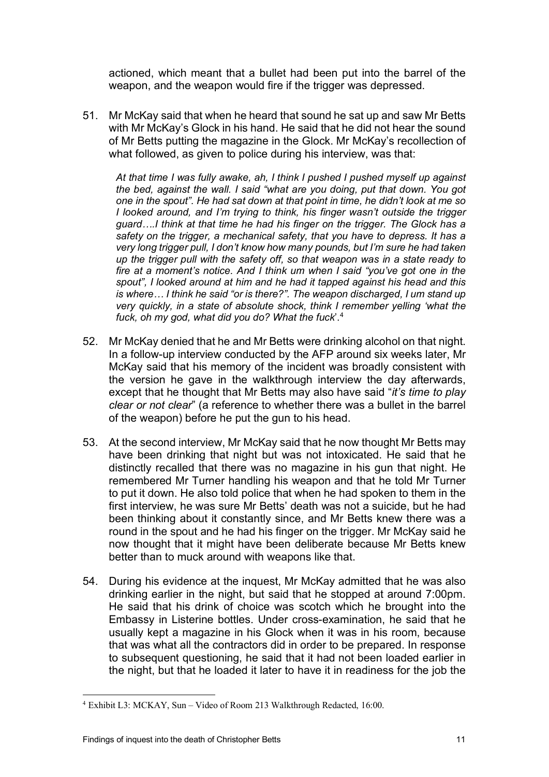actioned, which meant that a bullet had been put into the barrel of the weapon, and the weapon would fire if the trigger was depressed.

51. Mr McKay said that when he heard that sound he sat up and saw Mr Betts with Mr McKay's Glock in his hand. He said that he did not hear the sound of Mr Betts putting the magazine in the Glock. Mr McKay's recollection of what followed, as given to police during his interview, was that:

*At that time I was fully awake, ah, I think I pushed I pushed myself up against the bed, against the wall. I said "what are you doing, put that down. You got one in the spout". He had sat down at that point in time, he didn't look at me so I looked around, and I'm trying to think, his finger wasn't outside the trigger*  guard....I think at that time he had his finger on the trigger. The Glock has a *safety on the trigger, a mechanical safety, that you have to depress. It has a very long trigger pull, I don't know how many pounds, but I'm sure he had taken up the trigger pull with the safety off, so that weapon was in a state ready to fire at a moment's notice. And I think um when I said "you've got one in the spout", I looked around at him and he had it tapped against his head and this is where… I think he said "or is there?". The weapon discharged, I um stand up very quickly, in a state of absolute shock, think I remember yelling 'what the fuck, oh my god, what did you do? What the fuck*'.[4](#page-12-0)

- 52. Mr McKay denied that he and Mr Betts were drinking alcohol on that night. In a follow-up interview conducted by the AFP around six weeks later, Mr McKay said that his memory of the incident was broadly consistent with the version he gave in the walkthrough interview the day afterwards, except that he thought that Mr Betts may also have said "*it's time to play clear or not clear*" (a reference to whether there was a bullet in the barrel of the weapon) before he put the gun to his head.
- 53. At the second interview, Mr McKay said that he now thought Mr Betts may have been drinking that night but was not intoxicated. He said that he distinctly recalled that there was no magazine in his gun that night. He remembered Mr Turner handling his weapon and that he told Mr Turner to put it down. He also told police that when he had spoken to them in the first interview, he was sure Mr Betts' death was not a suicide, but he had been thinking about it constantly since, and Mr Betts knew there was a round in the spout and he had his finger on the trigger. Mr McKay said he now thought that it might have been deliberate because Mr Betts knew better than to muck around with weapons like that.
- 54. During his evidence at the inquest, Mr McKay admitted that he was also drinking earlier in the night, but said that he stopped at around 7:00pm. He said that his drink of choice was scotch which he brought into the Embassy in Listerine bottles. Under cross-examination, he said that he usually kept a magazine in his Glock when it was in his room, because that was what all the contractors did in order to be prepared. In response to subsequent questioning, he said that it had not been loaded earlier in the night, but that he loaded it later to have it in readiness for the job the

<span id="page-12-0"></span><sup>4</sup> Exhibit L3: MCKAY, Sun – Video of Room 213 Walkthrough Redacted, 16:00.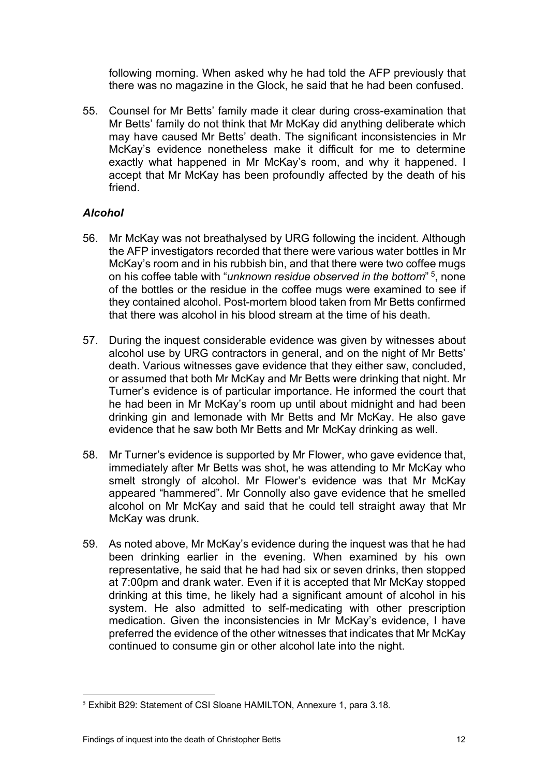following morning. When asked why he had told the AFP previously that there was no magazine in the Glock, he said that he had been confused.

55. Counsel for Mr Betts' family made it clear during cross-examination that Mr Betts' family do not think that Mr McKay did anything deliberate which may have caused Mr Betts' death. The significant inconsistencies in Mr McKay's evidence nonetheless make it difficult for me to determine exactly what happened in Mr McKay's room, and why it happened. I accept that Mr McKay has been profoundly affected by the death of his friend.

### *Alcohol*

- 56. Mr McKay was not breathalysed by URG following the incident. Although the AFP investigators recorded that there were various water bottles in Mr McKay's room and in his rubbish bin, and that there were two coffee mugs on his coffee table with "*unknown residue observed in the bottom*" [5,](#page-13-0) none of the bottles or the residue in the coffee mugs were examined to see if they contained alcohol. Post-mortem blood taken from Mr Betts confirmed that there was alcohol in his blood stream at the time of his death.
- 57. During the inquest considerable evidence was given by witnesses about alcohol use by URG contractors in general, and on the night of Mr Betts' death. Various witnesses gave evidence that they either saw, concluded, or assumed that both Mr McKay and Mr Betts were drinking that night. Mr Turner's evidence is of particular importance. He informed the court that he had been in Mr McKay's room up until about midnight and had been drinking gin and lemonade with Mr Betts and Mr McKay. He also gave evidence that he saw both Mr Betts and Mr McKay drinking as well.
- 58. Mr Turner's evidence is supported by Mr Flower, who gave evidence that, immediately after Mr Betts was shot, he was attending to Mr McKay who smelt strongly of alcohol. Mr Flower's evidence was that Mr McKay appeared "hammered". Mr Connolly also gave evidence that he smelled alcohol on Mr McKay and said that he could tell straight away that Mr McKay was drunk.
- 59. As noted above, Mr McKay's evidence during the inquest was that he had been drinking earlier in the evening. When examined by his own representative, he said that he had had six or seven drinks, then stopped at 7:00pm and drank water. Even if it is accepted that Mr McKay stopped drinking at this time, he likely had a significant amount of alcohol in his system. He also admitted to self-medicating with other prescription medication. Given the inconsistencies in Mr McKay's evidence, I have preferred the evidence of the other witnesses that indicates that Mr McKay continued to consume gin or other alcohol late into the night.

<span id="page-13-0"></span><sup>5</sup> Exhibit B29: Statement of CSI Sloane HAMILTON, Annexure 1, para 3.18.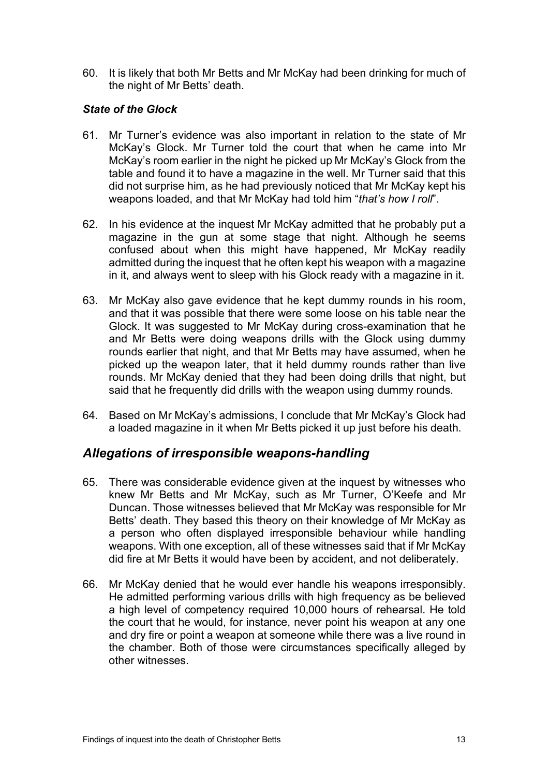60. It is likely that both Mr Betts and Mr McKay had been drinking for much of the night of Mr Betts' death.

#### *State of the Glock*

- 61. Mr Turner's evidence was also important in relation to the state of Mr McKay's Glock. Mr Turner told the court that when he came into Mr McKay's room earlier in the night he picked up Mr McKay's Glock from the table and found it to have a magazine in the well. Mr Turner said that this did not surprise him, as he had previously noticed that Mr McKay kept his weapons loaded, and that Mr McKay had told him "*that's how I roll*".
- 62. In his evidence at the inquest Mr McKay admitted that he probably put a magazine in the gun at some stage that night. Although he seems confused about when this might have happened, Mr McKay readily admitted during the inquest that he often kept his weapon with a magazine in it, and always went to sleep with his Glock ready with a magazine in it.
- 63. Mr McKay also gave evidence that he kept dummy rounds in his room, and that it was possible that there were some loose on his table near the Glock. It was suggested to Mr McKay during cross-examination that he and Mr Betts were doing weapons drills with the Glock using dummy rounds earlier that night, and that Mr Betts may have assumed, when he picked up the weapon later, that it held dummy rounds rather than live rounds. Mr McKay denied that they had been doing drills that night, but said that he frequently did drills with the weapon using dummy rounds.
- 64. Based on Mr McKay's admissions, I conclude that Mr McKay's Glock had a loaded magazine in it when Mr Betts picked it up just before his death.

### <span id="page-14-0"></span>*Allegations of irresponsible weapons-handling*

- 65. There was considerable evidence given at the inquest by witnesses who knew Mr Betts and Mr McKay, such as Mr Turner, O'Keefe and Mr Duncan. Those witnesses believed that Mr McKay was responsible for Mr Betts' death. They based this theory on their knowledge of Mr McKay as a person who often displayed irresponsible behaviour while handling weapons. With one exception, all of these witnesses said that if Mr McKay did fire at Mr Betts it would have been by accident, and not deliberately.
- 66. Mr McKay denied that he would ever handle his weapons irresponsibly. He admitted performing various drills with high frequency as be believed a high level of competency required 10,000 hours of rehearsal. He told the court that he would, for instance, never point his weapon at any one and dry fire or point a weapon at someone while there was a live round in the chamber. Both of those were circumstances specifically alleged by other witnesses.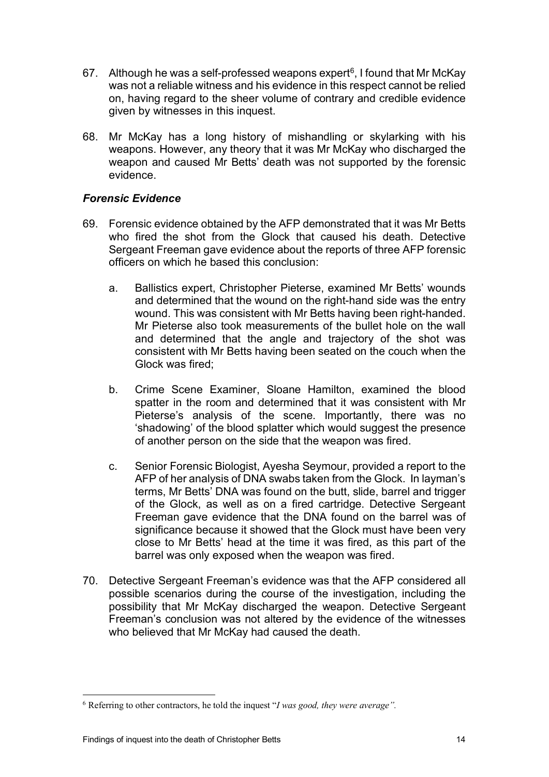- [6](#page-15-0)7. Although he was a self-professed weapons expert<sup>6</sup>, I found that Mr McKay was not a reliable witness and his evidence in this respect cannot be relied on, having regard to the sheer volume of contrary and credible evidence given by witnesses in this inquest.
- 68. Mr McKay has a long history of mishandling or skylarking with his weapons. However, any theory that it was Mr McKay who discharged the weapon and caused Mr Betts' death was not supported by the forensic evidence.

#### *Forensic Evidence*

- 69. Forensic evidence obtained by the AFP demonstrated that it was Mr Betts who fired the shot from the Glock that caused his death. Detective Sergeant Freeman gave evidence about the reports of three AFP forensic officers on which he based this conclusion:
	- a. Ballistics expert, Christopher Pieterse, examined Mr Betts' wounds and determined that the wound on the right-hand side was the entry wound. This was consistent with Mr Betts having been right-handed. Mr Pieterse also took measurements of the bullet hole on the wall and determined that the angle and trajectory of the shot was consistent with Mr Betts having been seated on the couch when the Glock was fired;
	- b. Crime Scene Examiner, Sloane Hamilton, examined the blood spatter in the room and determined that it was consistent with Mr Pieterse's analysis of the scene. Importantly, there was no 'shadowing' of the blood splatter which would suggest the presence of another person on the side that the weapon was fired.
	- c. Senior Forensic Biologist, Ayesha Seymour, provided a report to the AFP of her analysis of DNA swabs taken from the Glock. In layman's terms, Mr Betts' DNA was found on the butt, slide, barrel and trigger of the Glock, as well as on a fired cartridge. Detective Sergeant Freeman gave evidence that the DNA found on the barrel was of significance because it showed that the Glock must have been very close to Mr Betts' head at the time it was fired, as this part of the barrel was only exposed when the weapon was fired.
- 70. Detective Sergeant Freeman's evidence was that the AFP considered all possible scenarios during the course of the investigation, including the possibility that Mr McKay discharged the weapon. Detective Sergeant Freeman's conclusion was not altered by the evidence of the witnesses who believed that Mr McKay had caused the death.

<span id="page-15-0"></span><sup>6</sup> Referring to other contractors, he told the inquest "*I was good, they were average".*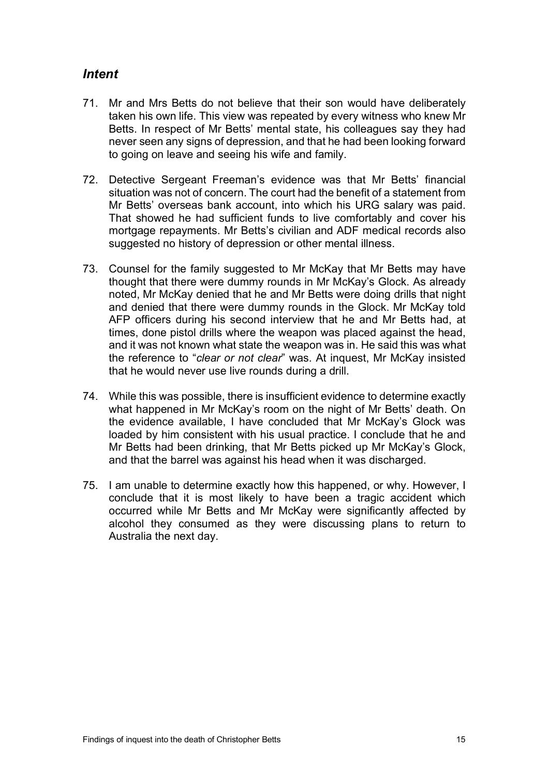## <span id="page-16-0"></span>*Intent*

- 71. Mr and Mrs Betts do not believe that their son would have deliberately taken his own life. This view was repeated by every witness who knew Mr Betts. In respect of Mr Betts' mental state, his colleagues say they had never seen any signs of depression, and that he had been looking forward to going on leave and seeing his wife and family.
- 72. Detective Sergeant Freeman's evidence was that Mr Betts' financial situation was not of concern. The court had the benefit of a statement from Mr Betts' overseas bank account, into which his URG salary was paid. That showed he had sufficient funds to live comfortably and cover his mortgage repayments. Mr Betts's civilian and ADF medical records also suggested no history of depression or other mental illness.
- 73. Counsel for the family suggested to Mr McKay that Mr Betts may have thought that there were dummy rounds in Mr McKay's Glock. As already noted, Mr McKay denied that he and Mr Betts were doing drills that night and denied that there were dummy rounds in the Glock. Mr McKay told AFP officers during his second interview that he and Mr Betts had, at times, done pistol drills where the weapon was placed against the head, and it was not known what state the weapon was in. He said this was what the reference to "*clear or not clear*" was. At inquest, Mr McKay insisted that he would never use live rounds during a drill.
- 74. While this was possible, there is insufficient evidence to determine exactly what happened in Mr McKay's room on the night of Mr Betts' death. On the evidence available, I have concluded that Mr McKay's Glock was loaded by him consistent with his usual practice. I conclude that he and Mr Betts had been drinking, that Mr Betts picked up Mr McKay's Glock, and that the barrel was against his head when it was discharged.
- 75. I am unable to determine exactly how this happened, or why. However, I conclude that it is most likely to have been a tragic accident which occurred while Mr Betts and Mr McKay were significantly affected by alcohol they consumed as they were discussing plans to return to Australia the next day.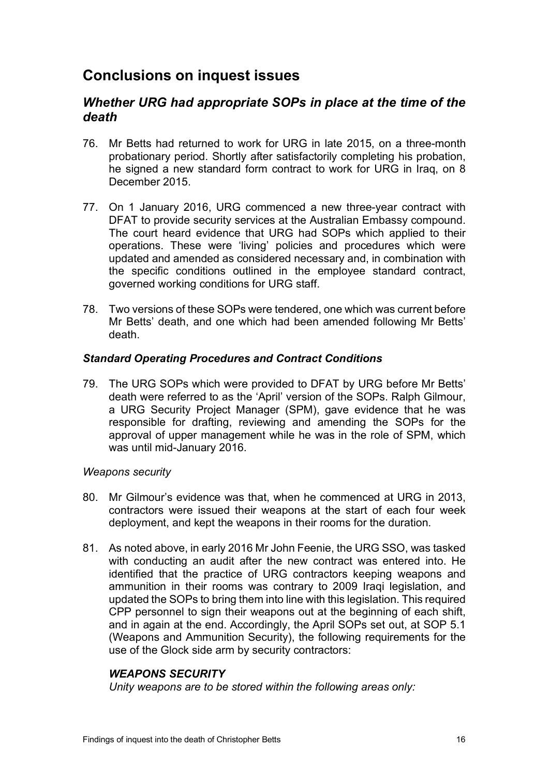## <span id="page-17-0"></span>**Conclusions on inquest issues**

## <span id="page-17-1"></span>*Whether URG had appropriate SOPs in place at the time of the death*

- 76. Mr Betts had returned to work for URG in late 2015, on a three-month probationary period. Shortly after satisfactorily completing his probation, he signed a new standard form contract to work for URG in Iraq, on 8 December 2015.
- 77. On 1 January 2016, URG commenced a new three-year contract with DFAT to provide security services at the Australian Embassy compound. The court heard evidence that URG had SOPs which applied to their operations. These were 'living' policies and procedures which were updated and amended as considered necessary and, in combination with the specific conditions outlined in the employee standard contract, governed working conditions for URG staff.
- 78. Two versions of these SOPs were tendered, one which was current before Mr Betts' death, and one which had been amended following Mr Betts' death.

#### *Standard Operating Procedures and Contract Conditions*

79. The URG SOPs which were provided to DFAT by URG before Mr Betts' death were referred to as the 'April' version of the SOPs. Ralph Gilmour, a URG Security Project Manager (SPM), gave evidence that he was responsible for drafting, reviewing and amending the SOPs for the approval of upper management while he was in the role of SPM, which was until mid-January 2016.

#### *Weapons security*

- 80. Mr Gilmour's evidence was that, when he commenced at URG in 2013, contractors were issued their weapons at the start of each four week deployment, and kept the weapons in their rooms for the duration.
- 81. As noted above, in early 2016 Mr John Feenie, the URG SSO, was tasked with conducting an audit after the new contract was entered into. He identified that the practice of URG contractors keeping weapons and ammunition in their rooms was contrary to 2009 Iraqi legislation, and updated the SOPs to bring them into line with this legislation. This required CPP personnel to sign their weapons out at the beginning of each shift, and in again at the end. Accordingly, the April SOPs set out, at SOP 5.1 (Weapons and Ammunition Security), the following requirements for the use of the Glock side arm by security contractors:

#### *WEAPONS SECURITY*

*Unity weapons are to be stored within the following areas only:*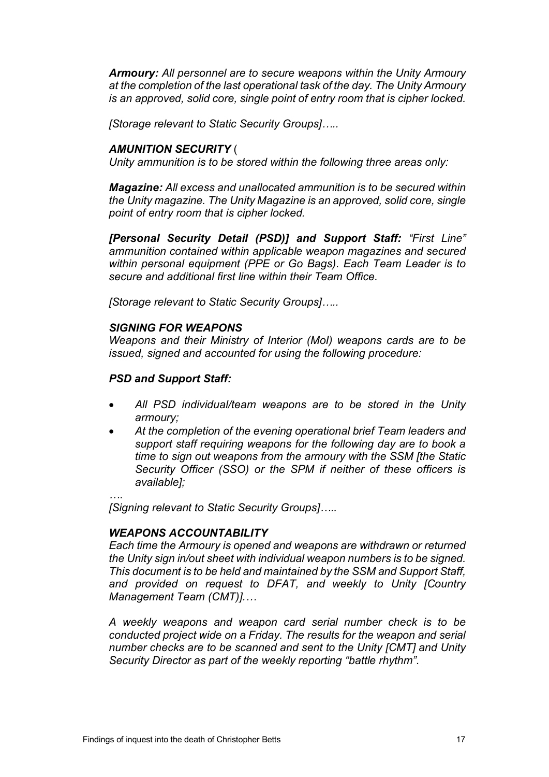*Armoury: All personnel are to secure weapons within the Unity Armoury at the completion of the last operational task of the day. The Unity Armoury is an approved, solid core, single point of entry room that is cipher locked.* 

*[Storage relevant to Static Security Groups]…..*

#### *AMUNITION SECURITY* (

*Unity ammunition is to be stored within the following three areas only:*

*Magazine: All excess and unallocated ammunition is to be secured within the Unity magazine. The Unity Magazine is an approved, solid core, single point of entry room that is cipher locked.*

*[Personal Security Detail (PSD)] and Support Staff: "First Line" ammunition contained within applicable weapon magazines and secured within personal equipment (PPE or Go Bags). Each Team Leader is to secure and additional first line within their Team Office.*

*[Storage relevant to Static Security Groups]…..*

#### *SIGNING FOR WEAPONS*

*Weapons and their Ministry of Interior (MoI) weapons cards are to be issued, signed and accounted for using the following procedure:*

#### *PSD and Support Staff:*

- *All PSD individual/team weapons are to be stored in the Unity armoury;*
- *At the completion of the evening operational brief Team leaders and support staff requiring weapons for the following day are to book a time to sign out weapons from the armoury with the SSM [the Static Security Officer (SSO) or the SPM if neither of these officers is available];*

*….*

*[Signing relevant to Static Security Groups]…..*

#### *WEAPONS ACCOUNTABILITY*

*Each time the Armoury is opened and weapons are withdrawn or returned the Unity sign in/out sheet with individual weapon numbers is to be signed. This document is to be held and maintained by the SSM and Support Staff, and provided on request to DFAT, and weekly to Unity [Country Management Team (CMT)].…*

*A weekly weapons and weapon card serial number check is to be conducted project wide on a Friday. The results for the weapon and serial number checks are to be scanned and sent to the Unity [CMT] and Unity Security Director as part of the weekly reporting "battle rhythm".*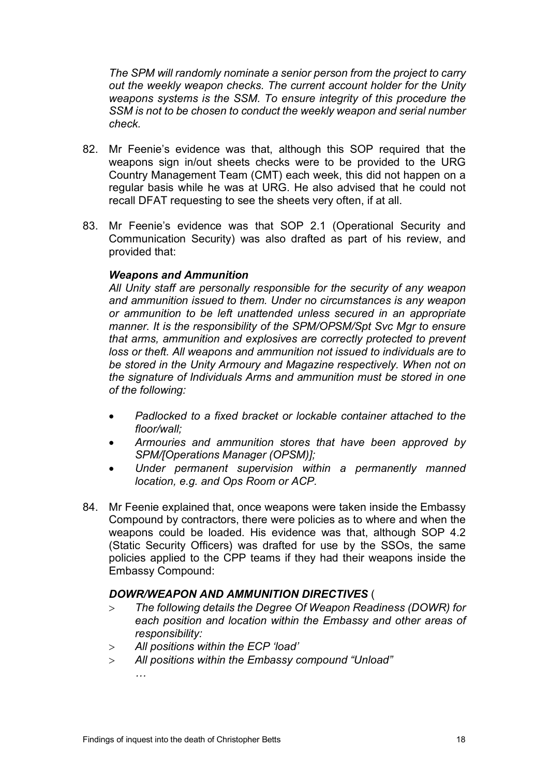*The SPM will randomly nominate a senior person from the project to carry out the weekly weapon checks. The current account holder for the Unity weapons systems is the SSM. To ensure integrity of this procedure the SSM is not to be chosen to conduct the weekly weapon and serial number check.*

- 82. Mr Feenie's evidence was that, although this SOP required that the weapons sign in/out sheets checks were to be provided to the URG Country Management Team (CMT) each week, this did not happen on a regular basis while he was at URG. He also advised that he could not recall DFAT requesting to see the sheets very often, if at all.
- 83. Mr Feenie's evidence was that SOP 2.1 (Operational Security and Communication Security) was also drafted as part of his review, and provided that:

#### *Weapons and Ammunition*

*All Unity staff are personally responsible for the security of any weapon and ammunition issued to them. Under no circumstances is any weapon or ammunition to be left unattended unless secured in an appropriate manner. It is the responsibility of the SPM/OPSM/Spt Svc Mgr to ensure that arms, ammunition and explosives are correctly protected to prevent loss or theft. All weapons and ammunition not issued to individuals are to be stored in the Unity Armoury and Magazine respectively. When not on the signature of Individuals Arms and ammunition must be stored in one of the following:*

- *Padlocked to a fixed bracket or lockable container attached to the floor/wall;*
- *Armouries and ammunition stores that have been approved by SPM/[Operations Manager (OPSM)];*
- *Under permanent supervision within a permanently manned location, e.g. and Ops Room or ACP.*
- 84. Mr Feenie explained that, once weapons were taken inside the Embassy Compound by contractors, there were policies as to where and when the weapons could be loaded. His evidence was that, although SOP 4.2 (Static Security Officers) was drafted for use by the SSOs, the same policies applied to the CPP teams if they had their weapons inside the Embassy Compound:

### *DOWR/WEAPON AND AMMUNITION DIRECTIVES* (

- > *The following details the Degree Of Weapon Readiness (DOWR) for each position and location within the Embassy and other areas of responsibility:*
- > *All positions within the ECP 'load'*
- > *All positions within the Embassy compound "Unload" …*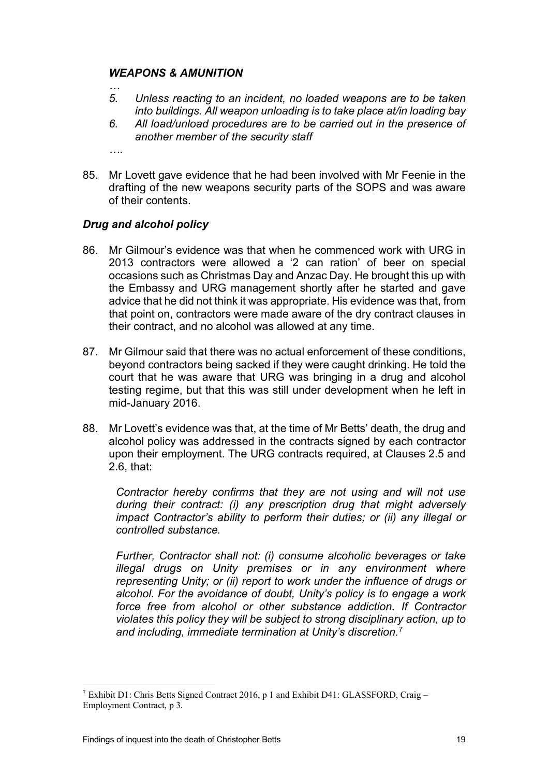#### *WEAPONS & AMUNITION*

- *5. Unless reacting to an incident, no loaded weapons are to be taken into buildings. All weapon unloading is to take place at/in loading bay*
- *6. All load/unload procedures are to be carried out in the presence of another member of the security staff*
- *….*

*…*

85. Mr Lovett gave evidence that he had been involved with Mr Feenie in the drafting of the new weapons security parts of the SOPS and was aware of their contents.

### *Drug and alcohol policy*

- 86. Mr Gilmour's evidence was that when he commenced work with URG in 2013 contractors were allowed a '2 can ration' of beer on special occasions such as Christmas Day and Anzac Day. He brought this up with the Embassy and URG management shortly after he started and gave advice that he did not think it was appropriate. His evidence was that, from that point on, contractors were made aware of the dry contract clauses in their contract, and no alcohol was allowed at any time.
- 87. Mr Gilmour said that there was no actual enforcement of these conditions, beyond contractors being sacked if they were caught drinking. He told the court that he was aware that URG was bringing in a drug and alcohol testing regime, but that this was still under development when he left in mid-January 2016.
- 88. Mr Lovett's evidence was that, at the time of Mr Betts' death, the drug and alcohol policy was addressed in the contracts signed by each contractor upon their employment. The URG contracts required, at Clauses 2.5 and 2.6, that:

*Contractor hereby confirms that they are not using and will not use during their contract: (i) any prescription drug that might adversely impact Contractor's ability to perform their duties; or (ii) any illegal or controlled substance.*

*Further, Contractor shall not: (i) consume alcoholic beverages or take illegal drugs on Unity premises or in any environment where representing Unity; or (ii) report to work under the influence of drugs or alcohol. For the avoidance of doubt, Unity's policy is to engage a work force free from alcohol or other substance addiction. If Contractor violates this policy they will be subject to strong disciplinary action, up to and including, immediate termination at Unity's discretion.*[7](#page-20-0)

<span id="page-20-0"></span><sup>&</sup>lt;sup>7</sup> Exhibit D1: Chris Betts Signed Contract 2016, p 1 and Exhibit D41: GLASSFORD, Craig – Employment Contract, p 3.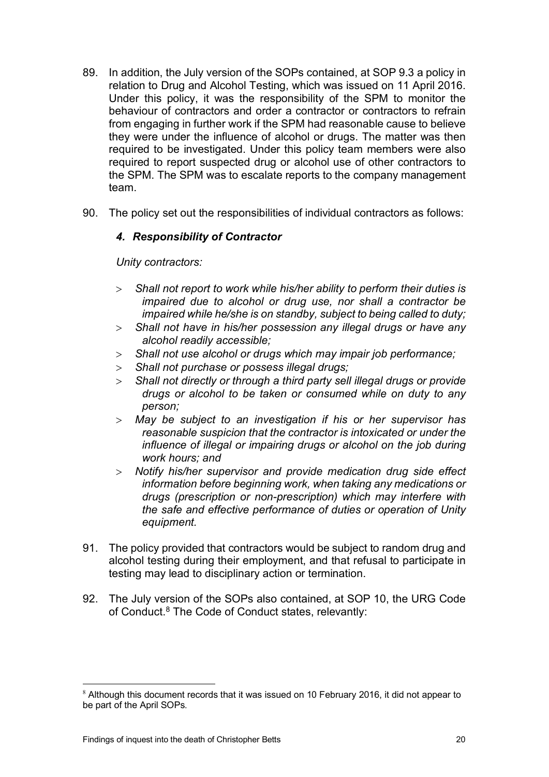- 89. In addition, the July version of the SOPs contained, at SOP 9.3 a policy in relation to Drug and Alcohol Testing, which was issued on 11 April 2016. Under this policy, it was the responsibility of the SPM to monitor the behaviour of contractors and order a contractor or contractors to refrain from engaging in further work if the SPM had reasonable cause to believe they were under the influence of alcohol or drugs. The matter was then required to be investigated. Under this policy team members were also required to report suspected drug or alcohol use of other contractors to the SPM. The SPM was to escalate reports to the company management team.
- 90. The policy set out the responsibilities of individual contractors as follows:

#### *4. Responsibility of Contractor*

*Unity contractors:*

- > *Shall not report to work while his/her ability to perform their duties is impaired due to alcohol or drug use, nor shall a contractor be impaired while he/she is on standby, subject to being called to duty;*
- > *Shall not have in his/her possession any illegal drugs or have any alcohol readily accessible;*
- > *Shall not use alcohol or drugs which may impair job performance;*
- > *Shall not purchase or possess illegal drugs;*
- > *Shall not directly or through a third party sell illegal drugs or provide drugs or alcohol to be taken or consumed while on duty to any person;*
- > *May be subject to an investigation if his or her supervisor has reasonable suspicion that the contractor is intoxicated or under the influence of illegal or impairing drugs or alcohol on the job during work hours; and*
- > *Notify his/her supervisor and provide medication drug side effect information before beginning work, when taking any medications or drugs (prescription or non-prescription) which may interfere with the safe and effective performance of duties or operation of Unity equipment.*
- 91. The policy provided that contractors would be subject to random drug and alcohol testing during their employment, and that refusal to participate in testing may lead to disciplinary action or termination.
- 92. The July version of the SOPs also contained, at SOP 10, the URG Code of Conduct.<sup>[8](#page-21-0)</sup> The Code of Conduct states, relevantly:

<span id="page-21-0"></span><sup>&</sup>lt;sup>8</sup> Although this document records that it was issued on 10 February 2016, it did not appear to be part of the April SOPs.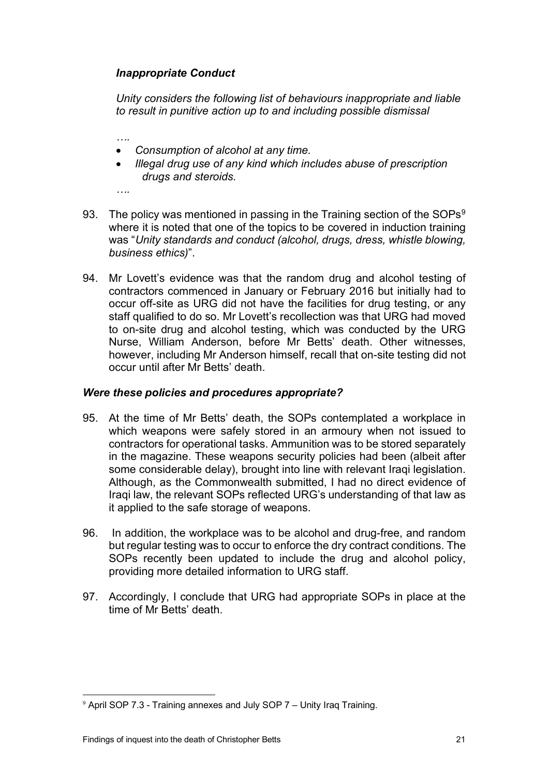### *Inappropriate Conduct*

*Unity considers the following list of behaviours inappropriate and liable to result in punitive action up to and including possible dismissal*

*….*

- *Consumption of alcohol at any time.*
- *Illegal drug use of any kind which includes abuse of prescription drugs and steroids.*

*….*

- [9](#page-22-0)3. The policy was mentioned in passing in the Training section of the SOPs $9$ where it is noted that one of the topics to be covered in induction training was "*Unity standards and conduct (alcohol, drugs, dress, whistle blowing, business ethics)*".
- 94. Mr Lovett's evidence was that the random drug and alcohol testing of contractors commenced in January or February 2016 but initially had to occur off-site as URG did not have the facilities for drug testing, or any staff qualified to do so. Mr Lovett's recollection was that URG had moved to on-site drug and alcohol testing, which was conducted by the URG Nurse, William Anderson, before Mr Betts' death. Other witnesses, however, including Mr Anderson himself, recall that on-site testing did not occur until after Mr Betts' death.

#### *Were these policies and procedures appropriate?*

- 95. At the time of Mr Betts' death, the SOPs contemplated a workplace in which weapons were safely stored in an armoury when not issued to contractors for operational tasks. Ammunition was to be stored separately in the magazine. These weapons security policies had been (albeit after some considerable delay), brought into line with relevant Iraqi legislation. Although, as the Commonwealth submitted, I had no direct evidence of Iraqi law, the relevant SOPs reflected URG's understanding of that law as it applied to the safe storage of weapons.
- 96. In addition, the workplace was to be alcohol and drug-free, and random but regular testing was to occur to enforce the dry contract conditions. The SOPs recently been updated to include the drug and alcohol policy, providing more detailed information to URG staff.
- 97. Accordingly, I conclude that URG had appropriate SOPs in place at the time of Mr Betts' death.

<span id="page-22-0"></span><sup>9</sup> April SOP 7.3 - Training annexes and July SOP 7 – Unity Iraq Training.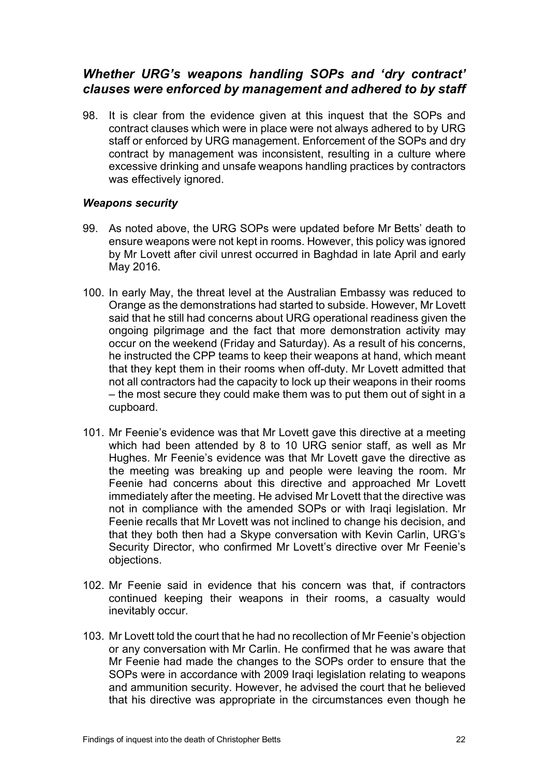## <span id="page-23-0"></span>*Whether URG's weapons handling SOPs and 'dry contract' clauses were enforced by management and adhered to by staff*

98. It is clear from the evidence given at this inquest that the SOPs and contract clauses which were in place were not always adhered to by URG staff or enforced by URG management. Enforcement of the SOPs and dry contract by management was inconsistent, resulting in a culture where excessive drinking and unsafe weapons handling practices by contractors was effectively ignored.

#### *Weapons security*

- 99. As noted above, the URG SOPs were updated before Mr Betts' death to ensure weapons were not kept in rooms. However, this policy was ignored by Mr Lovett after civil unrest occurred in Baghdad in late April and early May 2016.
- 100. In early May, the threat level at the Australian Embassy was reduced to Orange as the demonstrations had started to subside. However, Mr Lovett said that he still had concerns about URG operational readiness given the ongoing pilgrimage and the fact that more demonstration activity may occur on the weekend (Friday and Saturday). As a result of his concerns, he instructed the CPP teams to keep their weapons at hand, which meant that they kept them in their rooms when off-duty. Mr Lovett admitted that not all contractors had the capacity to lock up their weapons in their rooms – the most secure they could make them was to put them out of sight in a cupboard.
- 101. Mr Feenie's evidence was that Mr Lovett gave this directive at a meeting which had been attended by 8 to 10 URG senior staff, as well as Mr Hughes. Mr Feenie's evidence was that Mr Lovett gave the directive as the meeting was breaking up and people were leaving the room. Mr Feenie had concerns about this directive and approached Mr Lovett immediately after the meeting. He advised Mr Lovett that the directive was not in compliance with the amended SOPs or with Iraqi legislation. Mr Feenie recalls that Mr Lovett was not inclined to change his decision, and that they both then had a Skype conversation with Kevin Carlin, URG's Security Director, who confirmed Mr Lovett's directive over Mr Feenie's objections.
- 102. Mr Feenie said in evidence that his concern was that, if contractors continued keeping their weapons in their rooms, a casualty would inevitably occur.
- 103. Mr Lovett told the court that he had no recollection of Mr Feenie's objection or any conversation with Mr Carlin. He confirmed that he was aware that Mr Feenie had made the changes to the SOPs order to ensure that the SOPs were in accordance with 2009 Iraqi legislation relating to weapons and ammunition security. However, he advised the court that he believed that his directive was appropriate in the circumstances even though he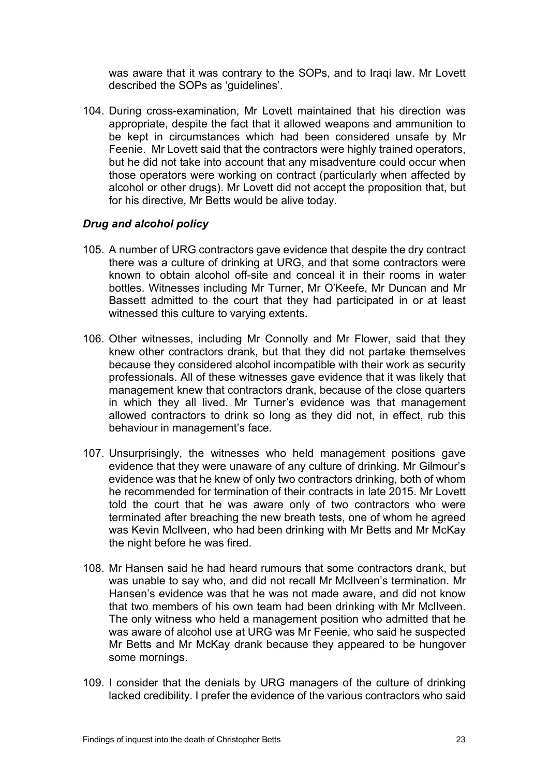was aware that it was contrary to the SOPs, and to Iraqi law. Mr Lovett described the SOPs as 'guidelines'.

104. During cross-examination, Mr Lovett maintained that his direction was appropriate, despite the fact that it allowed weapons and ammunition to be kept in circumstances which had been considered unsafe by Mr Feenie. Mr Lovett said that the contractors were highly trained operators, but he did not take into account that any misadventure could occur when those operators were working on contract (particularly when affected by alcohol or other drugs). Mr Lovett did not accept the proposition that, but for his directive, Mr Betts would be alive today.

#### *Drug and alcohol policy*

- 105. A number of URG contractors gave evidence that despite the dry contract there was a culture of drinking at URG, and that some contractors were known to obtain alcohol off-site and conceal it in their rooms in water bottles. Witnesses including Mr Turner, Mr O'Keefe, Mr Duncan and Mr Bassett admitted to the court that they had participated in or at least witnessed this culture to varying extents.
- 106. Other witnesses, including Mr Connolly and Mr Flower, said that they knew other contractors drank, but that they did not partake themselves because they considered alcohol incompatible with their work as security professionals. All of these witnesses gave evidence that it was likely that management knew that contractors drank, because of the close quarters in which they all lived. Mr Turner's evidence was that management allowed contractors to drink so long as they did not, in effect, rub this behaviour in management's face.
- 107. Unsurprisingly, the witnesses who held management positions gave evidence that they were unaware of any culture of drinking. Mr Gilmour's evidence was that he knew of only two contractors drinking, both of whom he recommended for termination of their contracts in late 2015. Mr Lovett told the court that he was aware only of two contractors who were terminated after breaching the new breath tests, one of whom he agreed was Kevin McIlveen, who had been drinking with Mr Betts and Mr McKay the night before he was fired.
- 108. Mr Hansen said he had heard rumours that some contractors drank, but was unable to say who, and did not recall Mr McIlveen's termination. Mr Hansen's evidence was that he was not made aware, and did not know that two members of his own team had been drinking with Mr McIlveen. The only witness who held a management position who admitted that he was aware of alcohol use at URG was Mr Feenie, who said he suspected Mr Betts and Mr McKay drank because they appeared to be hungover some mornings.
- 109. I consider that the denials by URG managers of the culture of drinking lacked credibility. I prefer the evidence of the various contractors who said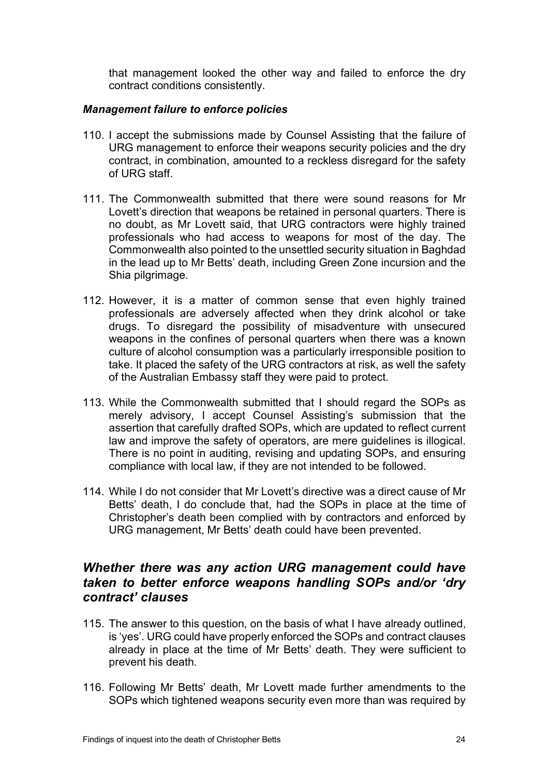that management looked the other way and failed to enforce the dry contract conditions consistently.

#### *Management failure to enforce policies*

- 110. I accept the submissions made by Counsel Assisting that the failure of URG management to enforce their weapons security policies and the dry contract, in combination, amounted to a reckless disregard for the safety of URG staff.
- 111. The Commonwealth submitted that there were sound reasons for Mr Lovett's direction that weapons be retained in personal quarters. There is no doubt, as Mr Lovett said, that URG contractors were highly trained professionals who had access to weapons for most of the day. The Commonwealth also pointed to the unsettled security situation in Baghdad in the lead up to Mr Betts' death, including Green Zone incursion and the Shia pilgrimage.
- 112. However, it is a matter of common sense that even highly trained professionals are adversely affected when they drink alcohol or take drugs. To disregard the possibility of misadventure with unsecured weapons in the confines of personal quarters when there was a known culture of alcohol consumption was a particularly irresponsible position to take. It placed the safety of the URG contractors at risk, as well the safety of the Australian Embassy staff they were paid to protect.
- 113. While the Commonwealth submitted that I should regard the SOPs as merely advisory, I accept Counsel Assisting's submission that the assertion that carefully drafted SOPs, which are updated to reflect current law and improve the safety of operators, are mere guidelines is illogical. There is no point in auditing, revising and updating SOPs, and ensuring compliance with local law, if they are not intended to be followed.
- 114. While I do not consider that Mr Lovett's directive was a direct cause of Mr Betts' death, I do conclude that, had the SOPs in place at the time of Christopher's death been complied with by contractors and enforced by URG management, Mr Betts' death could have been prevented.

## <span id="page-25-0"></span>*Whether there was any action URG management could have taken to better enforce weapons handling SOPs and/or 'dry contract' clauses*

- 115. The answer to this question, on the basis of what I have already outlined, is 'yes'. URG could have properly enforced the SOPs and contract clauses already in place at the time of Mr Betts' death. They were sufficient to prevent his death.
- 116. Following Mr Betts' death, Mr Lovett made further amendments to the SOPs which tightened weapons security even more than was required by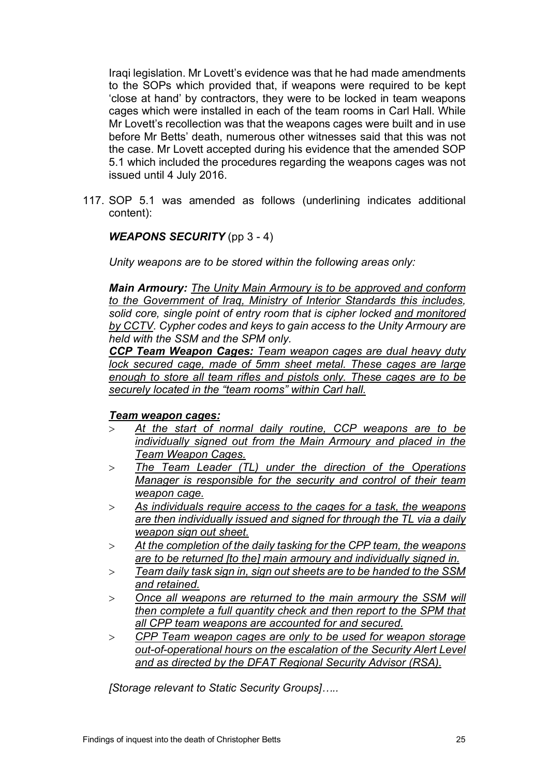Iraqi legislation. Mr Lovett's evidence was that he had made amendments to the SOPs which provided that, if weapons were required to be kept 'close at hand' by contractors, they were to be locked in team weapons cages which were installed in each of the team rooms in Carl Hall. While Mr Lovett's recollection was that the weapons cages were built and in use before Mr Betts' death, numerous other witnesses said that this was not the case. Mr Lovett accepted during his evidence that the amended SOP 5.1 which included the procedures regarding the weapons cages was not issued until 4 July 2016.

117. SOP 5.1 was amended as follows (underlining indicates additional content):

#### *WEAPONS SECURITY* (pp 3 - 4)

*Unity weapons are to be stored within the following areas only:*

*Main Armoury: The Unity Main Armoury is to be approved and conform to the Government of Iraq, Ministry of Interior Standards this includes, solid core, single point of entry room that is cipher locked and monitored by CCTV. Cypher codes and keys to gain access to the Unity Armoury are held with the SSM and the SPM only.*

*CCP Team Weapon Cages: Team weapon cages are dual heavy duty lock secured cage, made of 5mm sheet metal. These cages are large enough to store all team rifles and pistols only. These cages are to be securely located in the "team rooms" within Carl hall.*

#### *Team weapon cages:*

- > *At the start of normal daily routine, CCP weapons are to be individually signed out from the Main Armoury and placed in the Team Weapon Cages.*
- > *The Team Leader (TL) under the direction of the Operations Manager is responsible for the security and control of their team weapon cage.*
- > *As individuals require access to the cages for a task, the weapons are then individually issued and signed for through the TL via a daily weapon sign out sheet.*
- > *At the completion of the daily tasking for the CPP team, the weapons are to be returned [to the] main armoury and individually signed in.*
- > *Team daily task sign in, sign out sheets are to be handed to the SSM and retained.*
- > *Once all weapons are returned to the main armoury the SSM will then complete a full quantity check and then report to the SPM that all CPP team weapons are accounted for and secured.*
- > *CPP Team weapon cages are only to be used for weapon storage out-of-operational hours on the escalation of the Security Alert Level and as directed by the DFAT Regional Security Advisor (RSA).*

*[Storage relevant to Static Security Groups]…..*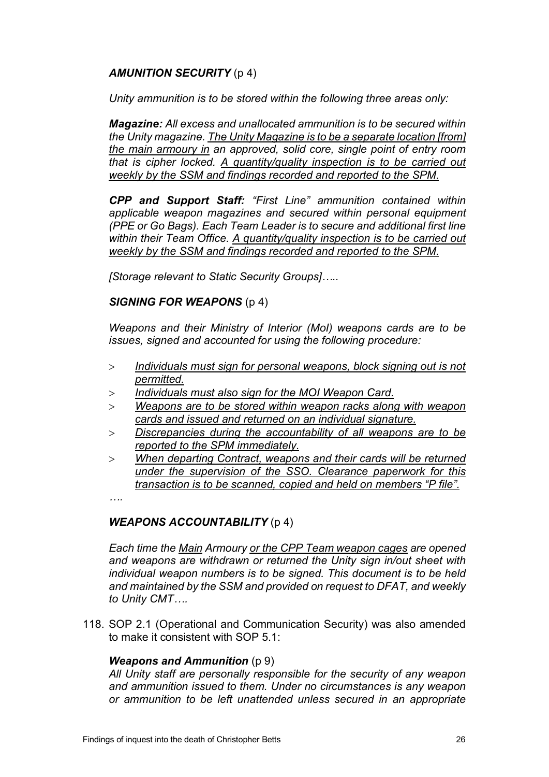### *AMUNITION SECURITY* (p 4)

*Unity ammunition is to be stored within the following three areas only:*

*Magazine: All excess and unallocated ammunition is to be secured within the Unity magazine. The Unity Magazine is to be a separate location [from] the main armoury in an approved, solid core, single point of entry room that is cipher locked. A quantity/quality inspection is to be carried out weekly by the SSM and findings recorded and reported to the SPM.*

*CPP and Support Staff: "First Line" ammunition contained within applicable weapon magazines and secured within personal equipment (PPE or Go Bags). Each Team Leader is to secure and additional first line within their Team Office. A quantity/quality inspection is to be carried out weekly by the SSM and findings recorded and reported to the SPM.*

*[Storage relevant to Static Security Groups]…..*

#### *SIGNING FOR WEAPONS* (p 4)

*Weapons and their Ministry of Interior (MoI) weapons cards are to be issues, signed and accounted for using the following procedure:*

- > *Individuals must sign for personal weapons, block signing out is not permitted.*
- > *Individuals must also sign for the MOI Weapon Card.*
- > *Weapons are to be stored within weapon racks along with weapon cards and issued and returned on an individual signature.*
- > *Discrepancies during the accountability of all weapons are to be reported to the SPM immediately.*
- > *When departing Contract, weapons and their cards will be returned under the supervision of the SSO. Clearance paperwork for this transaction is to be scanned, copied and held on members "P file".*

*….*

### *WEAPONS ACCOUNTABILITY* (p 4)

*Each time the Main Armoury or the CPP Team weapon cages are opened and weapons are withdrawn or returned the Unity sign in/out sheet with individual weapon numbers is to be signed. This document is to be held and maintained by the SSM and provided on request to DFAT, and weekly to Unity CMT….*

118. SOP 2.1 (Operational and Communication Security) was also amended to make it consistent with SOP 5.1:

#### *Weapons and Ammunition* (p 9)

*All Unity staff are personally responsible for the security of any weapon and ammunition issued to them. Under no circumstances is any weapon or ammunition to be left unattended unless secured in an appropriate*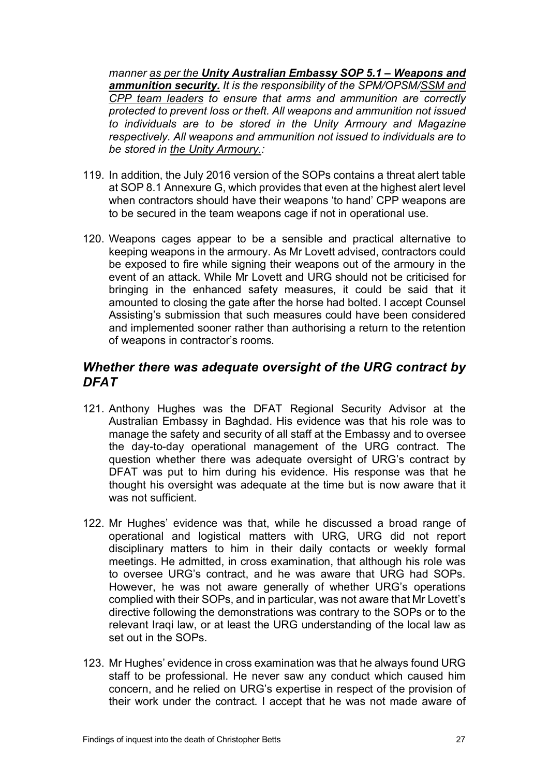*manner as per the Unity Australian Embassy SOP 5.1 – Weapons and ammunition security. It is the responsibility of the SPM/OPSM/SSM and CPP team leaders to ensure that arms and ammunition are correctly protected to prevent loss or theft. All weapons and ammunition not issued to individuals are to be stored in the Unity Armoury and Magazine respectively. All weapons and ammunition not issued to individuals are to be stored in the Unity Armoury.:*

- 119. In addition, the July 2016 version of the SOPs contains a threat alert table at SOP 8.1 Annexure G, which provides that even at the highest alert level when contractors should have their weapons 'to hand' CPP weapons are to be secured in the team weapons cage if not in operational use.
- 120. Weapons cages appear to be a sensible and practical alternative to keeping weapons in the armoury. As Mr Lovett advised, contractors could be exposed to fire while signing their weapons out of the armoury in the event of an attack. While Mr Lovett and URG should not be criticised for bringing in the enhanced safety measures, it could be said that it amounted to closing the gate after the horse had bolted. I accept Counsel Assisting's submission that such measures could have been considered and implemented sooner rather than authorising a return to the retention of weapons in contractor's rooms.

## <span id="page-28-0"></span>*Whether there was adequate oversight of the URG contract by DFAT*

- 121. Anthony Hughes was the DFAT Regional Security Advisor at the Australian Embassy in Baghdad. His evidence was that his role was to manage the safety and security of all staff at the Embassy and to oversee the day-to-day operational management of the URG contract. The question whether there was adequate oversight of URG's contract by DFAT was put to him during his evidence. His response was that he thought his oversight was adequate at the time but is now aware that it was not sufficient.
- 122. Mr Hughes' evidence was that, while he discussed a broad range of operational and logistical matters with URG, URG did not report disciplinary matters to him in their daily contacts or weekly formal meetings. He admitted, in cross examination, that although his role was to oversee URG's contract, and he was aware that URG had SOPs. However, he was not aware generally of whether URG's operations complied with their SOPs, and in particular, was not aware that Mr Lovett's directive following the demonstrations was contrary to the SOPs or to the relevant Iraqi law, or at least the URG understanding of the local law as set out in the SOPs.
- 123. Mr Hughes' evidence in cross examination was that he always found URG staff to be professional. He never saw any conduct which caused him concern, and he relied on URG's expertise in respect of the provision of their work under the contract. I accept that he was not made aware of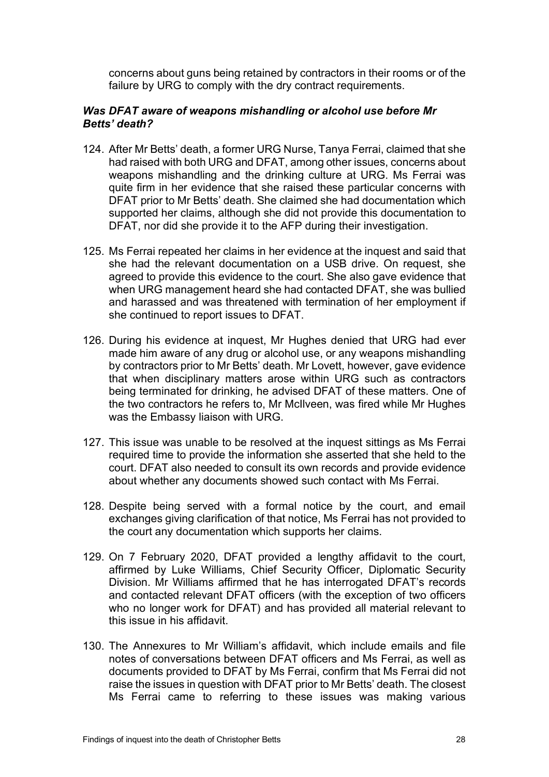concerns about guns being retained by contractors in their rooms or of the failure by URG to comply with the dry contract requirements.

#### *Was DFAT aware of weapons mishandling or alcohol use before Mr Betts' death?*

- 124. After Mr Betts' death, a former URG Nurse, Tanya Ferrai, claimed that she had raised with both URG and DFAT, among other issues, concerns about weapons mishandling and the drinking culture at URG. Ms Ferrai was quite firm in her evidence that she raised these particular concerns with DFAT prior to Mr Betts' death. She claimed she had documentation which supported her claims, although she did not provide this documentation to DFAT, nor did she provide it to the AFP during their investigation.
- 125. Ms Ferrai repeated her claims in her evidence at the inquest and said that she had the relevant documentation on a USB drive. On request, she agreed to provide this evidence to the court. She also gave evidence that when URG management heard she had contacted DFAT, she was bullied and harassed and was threatened with termination of her employment if she continued to report issues to DFAT.
- 126. During his evidence at inquest, Mr Hughes denied that URG had ever made him aware of any drug or alcohol use, or any weapons mishandling by contractors prior to Mr Betts' death. Mr Lovett, however, gave evidence that when disciplinary matters arose within URG such as contractors being terminated for drinking, he advised DFAT of these matters. One of the two contractors he refers to, Mr McIlveen, was fired while Mr Hughes was the Embassy liaison with URG.
- 127. This issue was unable to be resolved at the inquest sittings as Ms Ferrai required time to provide the information she asserted that she held to the court. DFAT also needed to consult its own records and provide evidence about whether any documents showed such contact with Ms Ferrai.
- 128. Despite being served with a formal notice by the court, and email exchanges giving clarification of that notice, Ms Ferrai has not provided to the court any documentation which supports her claims.
- 129. On 7 February 2020, DFAT provided a lengthy affidavit to the court, affirmed by Luke Williams, Chief Security Officer, Diplomatic Security Division. Mr Williams affirmed that he has interrogated DFAT's records and contacted relevant DFAT officers (with the exception of two officers who no longer work for DFAT) and has provided all material relevant to this issue in his affidavit.
- 130. The Annexures to Mr William's affidavit, which include emails and file notes of conversations between DFAT officers and Ms Ferrai, as well as documents provided to DFAT by Ms Ferrai, confirm that Ms Ferrai did not raise the issues in question with DFAT prior to Mr Betts' death. The closest Ms Ferrai came to referring to these issues was making various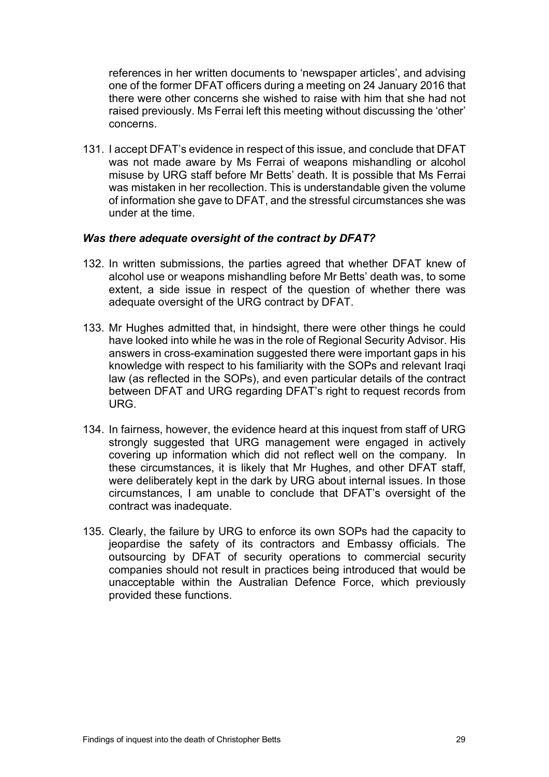references in her written documents to 'newspaper articles', and advising one of the former DFAT officers during a meeting on 24 January 2016 that there were other concerns she wished to raise with him that she had not raised previously. Ms Ferrai left this meeting without discussing the 'other' concerns.

131. I accept DFAT's evidence in respect of this issue, and conclude that DFAT was not made aware by Ms Ferrai of weapons mishandling or alcohol misuse by URG staff before Mr Betts' death. It is possible that Ms Ferrai was mistaken in her recollection. This is understandable given the volume of information she gave to DFAT, and the stressful circumstances she was under at the time.

#### *Was there adequate oversight of the contract by DFAT?*

- 132. In written submissions, the parties agreed that whether DFAT knew of alcohol use or weapons mishandling before Mr Betts' death was, to some extent, a side issue in respect of the question of whether there was adequate oversight of the URG contract by DFAT.
- 133. Mr Hughes admitted that, in hindsight, there were other things he could have looked into while he was in the role of Regional Security Advisor. His answers in cross-examination suggested there were important gaps in his knowledge with respect to his familiarity with the SOPs and relevant Iraqi law (as reflected in the SOPs), and even particular details of the contract between DFAT and URG regarding DFAT's right to request records from URG.
- 134. In fairness, however, the evidence heard at this inquest from staff of URG strongly suggested that URG management were engaged in actively covering up information which did not reflect well on the company. In these circumstances, it is likely that Mr Hughes, and other DFAT staff, were deliberately kept in the dark by URG about internal issues. In those circumstances, I am unable to conclude that DFAT's oversight of the contract was inadequate.
- 135. Clearly, the failure by URG to enforce its own SOPs had the capacity to jeopardise the safety of its contractors and Embassy officials. The outsourcing by DFAT of security operations to commercial security companies should not result in practices being introduced that would be unacceptable within the Australian Defence Force, which previously provided these functions.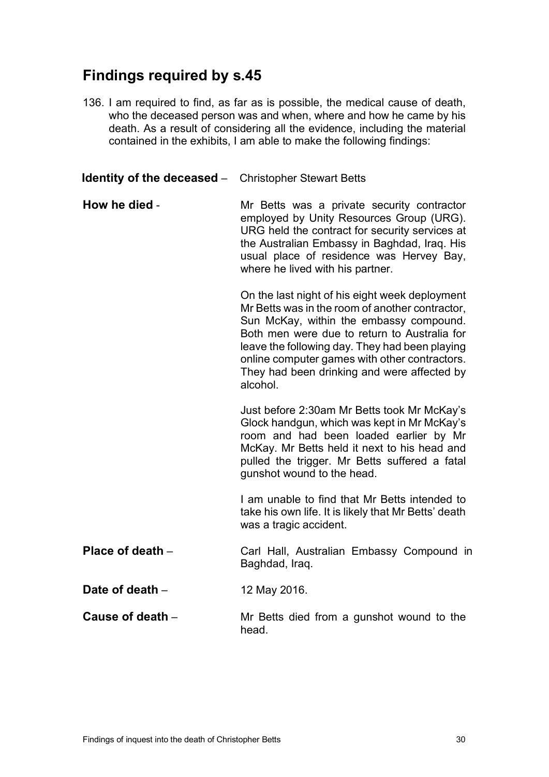## <span id="page-31-0"></span>**Findings required by s.45**

136. I am required to find, as far as is possible, the medical cause of death, who the deceased person was and when, where and how he came by his death. As a result of considering all the evidence, including the material contained in the exhibits, I am able to make the following findings:

**Identity of the deceased** – Christopher Stewart Betts

**How he died** - The Mr Betts was a private security contractor employed by Unity Resources Group (URG). URG held the contract for security services at the Australian Embassy in Baghdad, Iraq. His usual place of residence was Hervey Bay, where he lived with his partner.

> On the last night of his eight week deployment Mr Betts was in the room of another contractor, Sun McKay, within the embassy compound. Both men were due to return to Australia for leave the following day. They had been playing online computer games with other contractors. They had been drinking and were affected by alcohol.

> Just before 2:30am Mr Betts took Mr McKay's Glock handgun, which was kept in Mr McKay's room and had been loaded earlier by Mr McKay. Mr Betts held it next to his head and pulled the trigger. Mr Betts suffered a fatal gunshot wound to the head.

> I am unable to find that Mr Betts intended to take his own life. It is likely that Mr Betts' death was a tragic accident.

- **Place of death** Carl Hall, Australian Embassy Compound in Baghdad, Iraq.
- **Date of death 12 May 2016.**
- **Cause of death** Mr Betts died from a gunshot wound to the head.